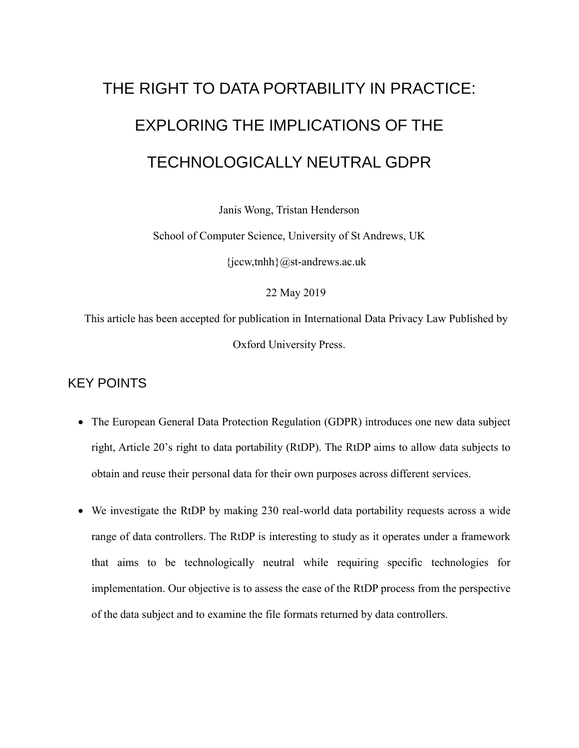# THE RIGHT TO DATA PORTABILITY IN PRACTICE: EXPLORING THE IMPLICATIONS OF THE TECHNOLOGICALLY NEUTRAL GDPR

Janis Wong, Tristan Henderson

School of Computer Science, University of St Andrews, UK

 $\{jccw,tnhh\}$ @st-andrews.ac.uk

22 May 2019

This article has been accepted for publication in International Data Privacy Law Published by Oxford University Press.

# KEY POINTS

- The European General Data Protection Regulation (GDPR) introduces one new data subject right, Article 20's right to data portability (RtDP). The RtDP aims to allow data subjects to obtain and reuse their personal data for their own purposes across different services.
- We investigate the RtDP by making 230 real-world data portability requests across a wide range of data controllers. The RtDP is interesting to study as it operates under a framework that aims to be technologically neutral while requiring specific technologies for implementation. Our objective is to assess the ease of the RtDP process from the perspective of the data subject and to examine the file formats returned by data controllers.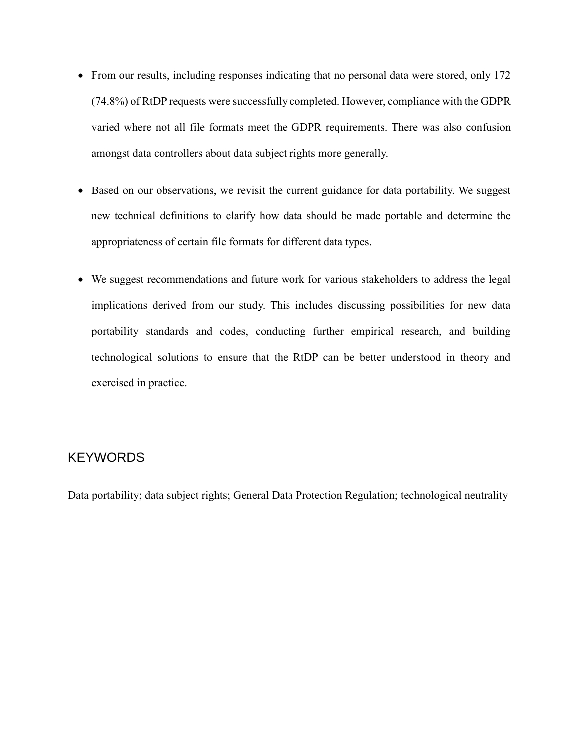- From our results, including responses indicating that no personal data were stored, only 172 (74.8%) of RtDP requests were successfully completed. However, compliance with the GDPR varied where not all file formats meet the GDPR requirements. There was also confusion amongst data controllers about data subject rights more generally.
- Based on our observations, we revisit the current guidance for data portability. We suggest new technical definitions to clarify how data should be made portable and determine the appropriateness of certain file formats for different data types.
- We suggest recommendations and future work for various stakeholders to address the legal implications derived from our study. This includes discussing possibilities for new data portability standards and codes, conducting further empirical research, and building technological solutions to ensure that the RtDP can be better understood in theory and exercised in practice.

# **KEYWORDS**

Data portability; data subject rights; General Data Protection Regulation; technological neutrality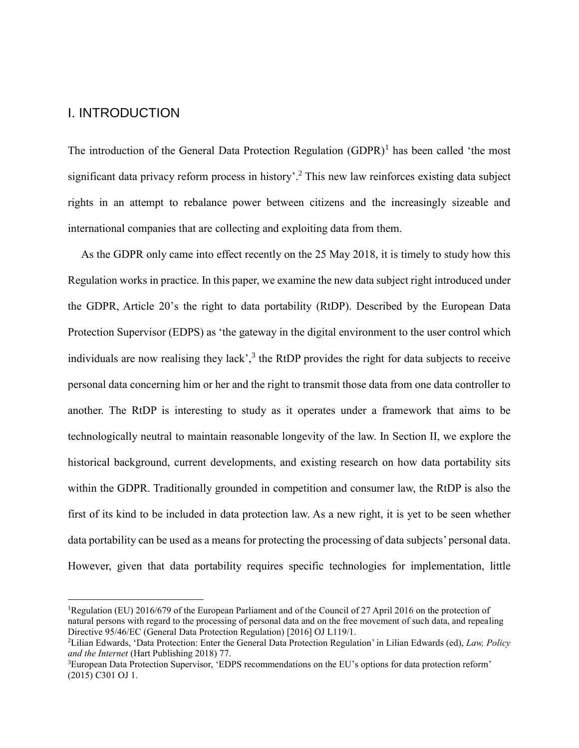#### I. INTRODUCTION

1

The introduction of the General Data Protection Regulation (GDPR)<sup>1</sup> has been called 'the most significant data privacy reform process in history'.<sup>2</sup> This new law reinforces existing data subject rights in an attempt to rebalance power between citizens and the increasingly sizeable and international companies that are collecting and exploiting data from them.

As the GDPR only came into effect recently on the 25 May 2018, it is timely to study how this Regulation works in practice. In this paper, we examine the new data subject right introduced under the GDPR, Article 20's the right to data portability (RtDP). Described by the European Data Protection Supervisor (EDPS) as 'the gateway in the digital environment to the user control which individuals are now realising they lack', $3$  the RtDP provides the right for data subjects to receive personal data concerning him or her and the right to transmit those data from one data controller to another. The RtDP is interesting to study as it operates under a framework that aims to be technologically neutral to maintain reasonable longevity of the law. In Section II, we explore the historical background, current developments, and existing research on how data portability sits within the GDPR. Traditionally grounded in competition and consumer law, the RtDP is also the first of its kind to be included in data protection law. As a new right, it is yet to be seen whether data portability can be used as a means for protecting the processing of data subjects' personal data. However, given that data portability requires specific technologies for implementation, little

<sup>&</sup>lt;sup>1</sup>Regulation (EU) 2016/679 of the European Parliament and of the Council of 27 April 2016 on the protection of natural persons with regard to the processing of personal data and on the free movement of such data, and repealing Directive 95/46/EC (General Data Protection Regulation) [2016] OJ L119/1.

<sup>2</sup>Lilian Edwards, 'Data Protection: Enter the General Data Protection Regulation' in Lilian Edwards (ed), *Law, Policy and the Internet* (Hart Publishing 2018) 77.

<sup>3</sup>European Data Protection Supervisor, 'EDPS recommendations on the EU's options for data protection reform' (2015) C301 OJ 1.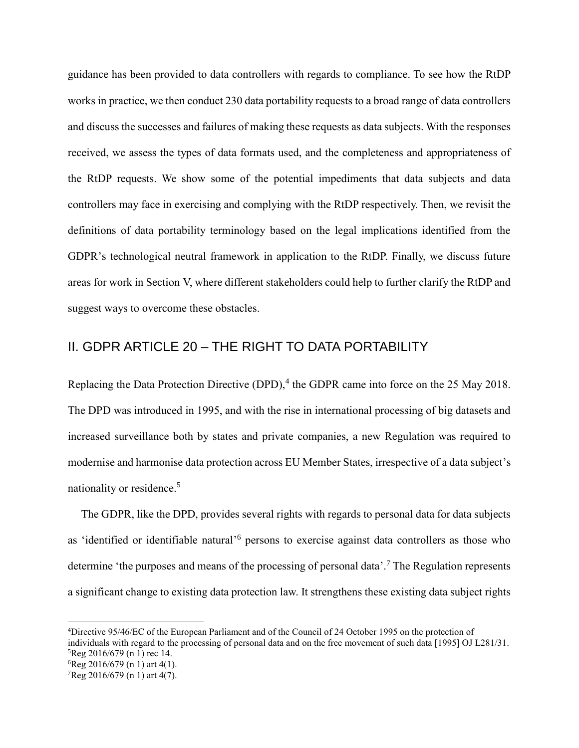guidance has been provided to data controllers with regards to compliance. To see how the RtDP works in practice, we then conduct 230 data portability requests to a broad range of data controllers and discuss the successes and failures of making these requests as data subjects. With the responses received, we assess the types of data formats used, and the completeness and appropriateness of the RtDP requests. We show some of the potential impediments that data subjects and data controllers may face in exercising and complying with the RtDP respectively. Then, we revisit the definitions of data portability terminology based on the legal implications identified from the GDPR's technological neutral framework in application to the RtDP. Finally, we discuss future areas for work in Section V, where different stakeholders could help to further clarify the RtDP and suggest ways to overcome these obstacles.

# II. GDPR ARTICLE 20 – THE RIGHT TO DATA PORTABILITY

Replacing the Data Protection Directive (DPD), $4$  the GDPR came into force on the 25 May 2018. The DPD was introduced in 1995, and with the rise in international processing of big datasets and increased surveillance both by states and private companies, a new Regulation was required to modernise and harmonise data protection across EU Member States, irrespective of a data subject's nationality or residence.<sup>5</sup>

The GDPR, like the DPD, provides several rights with regards to personal data for data subjects as 'identified or identifiable natural' 6 persons to exercise against data controllers as those who determine 'the purposes and means of the processing of personal data'.<sup>7</sup> The Regulation represents a significant change to existing data protection law. It strengthens these existing data subject rights

<sup>4</sup>Directive 95/46/EC of the European Parliament and of the Council of 24 October 1995 on the protection of individuals with regard to the processing of personal data and on the free movement of such data [1995] OJ L281/31. <sup>5</sup>Reg 2016/679 (n 1) rec 14.

<sup>6</sup>Reg 2016/679 (n 1) art 4(1).

 $7$ Reg 2016/679 (n 1) art 4(7).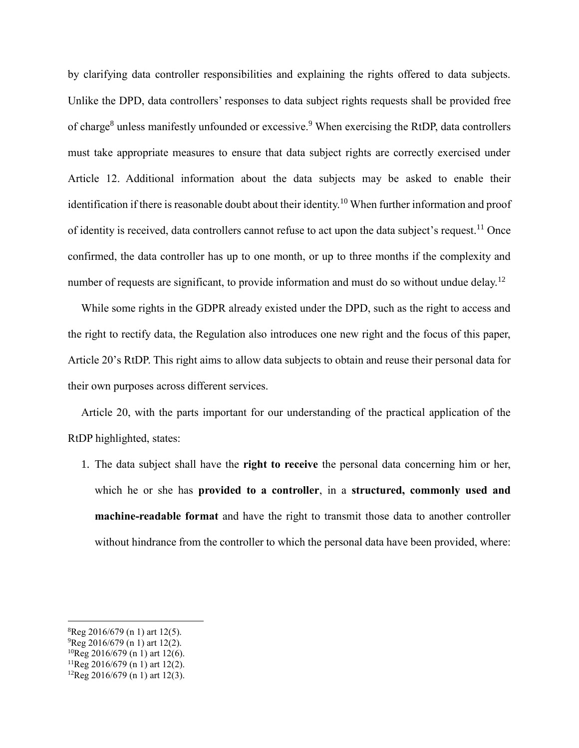by clarifying data controller responsibilities and explaining the rights offered to data subjects. Unlike the DPD, data controllers' responses to data subject rights requests shall be provided free of charge<sup>8</sup> unless manifestly unfounded or excessive.<sup>9</sup> When exercising the RtDP, data controllers must take appropriate measures to ensure that data subject rights are correctly exercised under Article 12. Additional information about the data subjects may be asked to enable their identification if there is reasonable doubt about their identity.<sup>10</sup> When further information and proof of identity is received, data controllers cannot refuse to act upon the data subject's request.<sup>11</sup> Once confirmed, the data controller has up to one month, or up to three months if the complexity and number of requests are significant, to provide information and must do so without undue delay.<sup>12</sup>

While some rights in the GDPR already existed under the DPD, such as the right to access and the right to rectify data, the Regulation also introduces one new right and the focus of this paper, Article 20's RtDP. This right aims to allow data subjects to obtain and reuse their personal data for their own purposes across different services.

Article 20, with the parts important for our understanding of the practical application of the RtDP highlighted, states:

1. The data subject shall have the **right to receive** the personal data concerning him or her, which he or she has **provided to a controller**, in a **structured, commonly used and machine-readable format** and have the right to transmit those data to another controller without hindrance from the controller to which the personal data have been provided, where:

<sup>8</sup>Reg 2016/679 (n 1) art 12(5).

 $^{9}$ Reg 2016/679 (n 1) art 12(2).

<sup>10</sup>Reg 2016/679 (n 1) art 12(6).

 $11$ Reg 2016/679 (n 1) art 12(2).

 ${}^{12}$ Reg 2016/679 (n 1) art 12(3).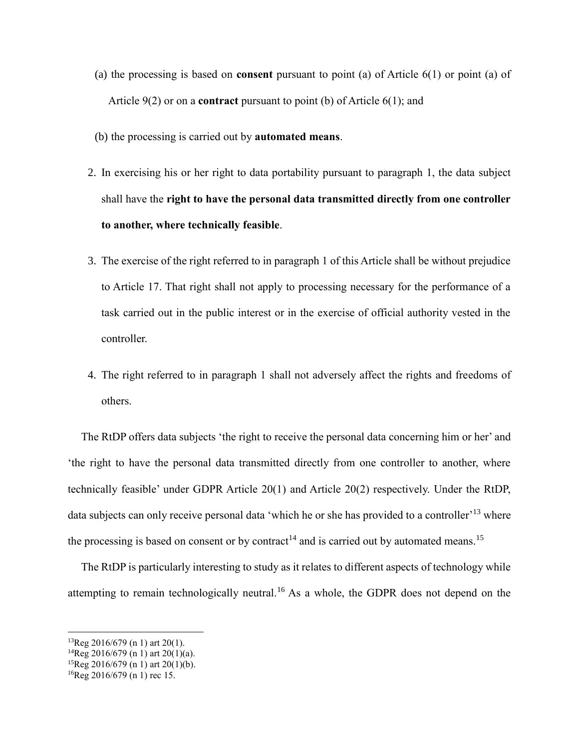- (a) the processing is based on **consent** pursuant to point (a) of Article 6(1) or point (a) of Article 9(2) or on a **contract** pursuant to point (b) of Article 6(1); and
- (b) the processing is carried out by **automated means**.
- 2. In exercising his or her right to data portability pursuant to paragraph 1, the data subject shall have the **right to have the personal data transmitted directly from one controller to another, where technically feasible**.
- 3. The exercise of the right referred to in paragraph 1 of this Article shall be without prejudice to Article 17. That right shall not apply to processing necessary for the performance of a task carried out in the public interest or in the exercise of official authority vested in the controller.
- 4. The right referred to in paragraph 1 shall not adversely affect the rights and freedoms of others.

The RtDP offers data subjects 'the right to receive the personal data concerning him or her' and 'the right to have the personal data transmitted directly from one controller to another, where technically feasible' under GDPR Article 20(1) and Article 20(2) respectively. Under the RtDP, data subjects can only receive personal data 'which he or she has provided to a controller'<sup>13</sup> where the processing is based on consent or by contract<sup>14</sup> and is carried out by automated means.<sup>15</sup>

The RtDP is particularly interesting to study as it relates to different aspects of technology while attempting to remain technologically neutral.<sup>16</sup> As a whole, the GDPR does not depend on the

 $13$ Reg 2016/679 (n 1) art 20(1).

 $14$ Reg 2016/679 (n 1) art 20(1)(a).

<sup>&</sup>lt;sup>15</sup>Reg 2016/679 (n 1) art 20(1)(b).

 $^{16}$ Reg 2016/679 (n 1) rec 15.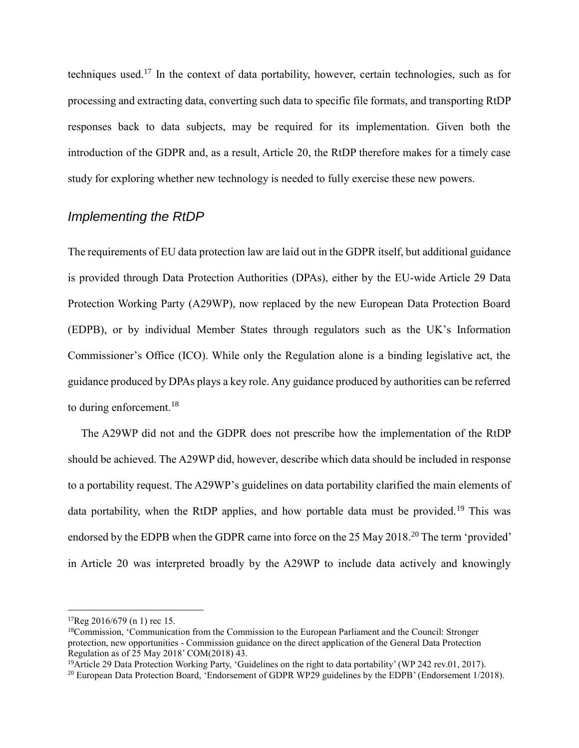techniques used.<sup>17</sup> In the context of data portability, however, certain technologies, such as for processing and extracting data, converting such data to specific file formats, and transporting RtDP responses back to data subjects, may be required for its implementation. Given both the introduction of the GDPR and, as a result, Article 20, the RtDP therefore makes for a timely case study for exploring whether new technology is needed to fully exercise these new powers.

## *Implementing the RtDP*

The requirements of EU data protection law are laid out in the GDPR itself, but additional guidance is provided through Data Protection Authorities (DPAs), either by the EU-wide Article 29 Data Protection Working Party (A29WP), now replaced by the new European Data Protection Board (EDPB), or by individual Member States through regulators such as the UK's Information Commissioner's Office (ICO). While only the Regulation alone is a binding legislative act, the guidance produced by DPAs plays a key role. Any guidance produced by authorities can be referred to during enforcement.<sup>18</sup>

The A29WP did not and the GDPR does not prescribe how the implementation of the RtDP should be achieved. The A29WP did, however, describe which data should be included in response to a portability request. The A29WP's guidelines on data portability clarified the main elements of data portability, when the RtDP applies, and how portable data must be provided.<sup>19</sup> This was endorsed by the EDPB when the GDPR came into force on the 25 May 2018.<sup>20</sup> The term 'provided' in Article 20 was interpreted broadly by the A29WP to include data actively and knowingly

 $17$ Reg 2016/679 (n 1) rec 15.

<sup>&</sup>lt;sup>18</sup>Commission, 'Communication from the Commission to the European Parliament and the Council: Stronger protection, new opportunities - Commission guidance on the direct application of the General Data Protection Regulation as of 25 May 2018' COM(2018) 43.

<sup>&</sup>lt;sup>19</sup>Article 29 Data Protection Working Party, 'Guidelines on the right to data portability' (WP 242 rev.01, 2017).

<sup>&</sup>lt;sup>20</sup> European Data Protection Board, 'Endorsement of GDPR WP29 guidelines by the EDPB' (Endorsement 1/2018).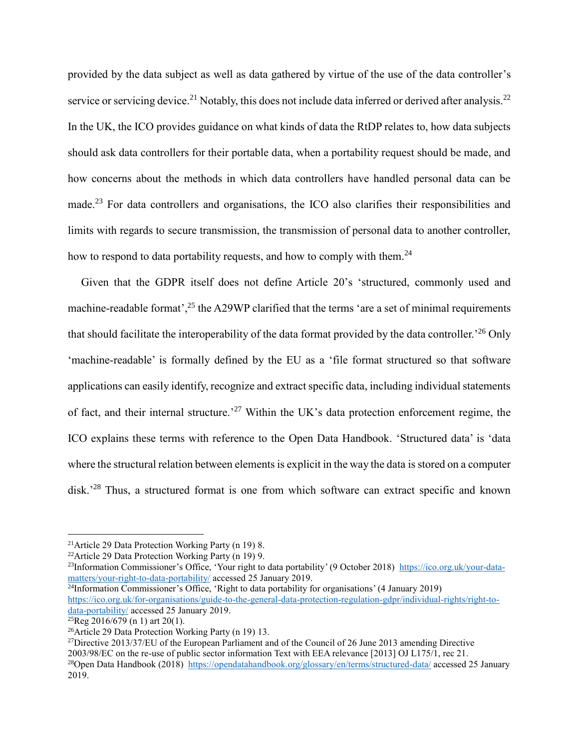provided by the data subject as well as data gathered by virtue of the use of the data controller's service or servicing device.<sup>21</sup> Notably, this does not include data inferred or derived after analysis.<sup>22</sup> In the UK, the ICO provides guidance on what kinds of data the RtDP relates to, how data subjects should ask data controllers for their portable data, when a portability request should be made, and how concerns about the methods in which data controllers have handled personal data can be made.<sup>23</sup> For data controllers and organisations, the ICO also clarifies their responsibilities and limits with regards to secure transmission, the transmission of personal data to another controller, how to respond to data portability requests, and how to comply with them.<sup>24</sup>

Given that the GDPR itself does not define Article 20's 'structured, commonly used and machine-readable format',<sup>25</sup> the A29WP clarified that the terms 'are a set of minimal requirements that should facilitate the interoperability of the data format provided by the data controller.<sup>26</sup> Only 'machine-readable' is formally defined by the EU as a 'file format structured so that software applications can easily identify, recognize and extract specific data, including individual statements of fact, and their internal structure.<sup>27</sup> Within the UK's data protection enforcement regime, the ICO explains these terms with reference to the Open Data Handbook. 'Structured data' is 'data where the structural relation between elements is explicit in the way the data is stored on a computer disk.<sup>28</sup> Thus, a structured format is one from which software can extract specific and known

1

<sup>27</sup>Directive 2013/37/EU of the European Parliament and of the Council of 26 June 2013 amending Directive 2003/98/EC on the re-use of public sector information Text with EEA relevance [2013] OJ L175/1, rec 21.

<sup>&</sup>lt;sup>21</sup> Article 29 Data Protection Working Party (n 19) 8.

<sup>&</sup>lt;sup>22</sup>Article 29 Data Protection Working Party (n 19) 9.

<sup>&</sup>lt;sup>23</sup>Information Commissioner's Office, 'Your right to data portability' (9 October 2018) [https://ico.org.uk/your-data](https://ico.org.uk/your-data-matters/your-right-to-data-portability/)[matters/your-right-to-data-portability/](https://ico.org.uk/your-data-matters/your-right-to-data-portability/) accessed 25 January 2019.

<sup>24</sup>Information Commissioner's Office, 'Right to data portability for organisations' (4 January 2019) [https://ico.org.uk/for-organisations/guide-to-the-general-data-protection-regulation-gdpr/individual-rights/right-to](https://ico.org.uk/for-organisations/guide-to-the-general-data-protection-regulation-gdpr/individual-rights/right-to-data-portability/)[data-portability/](https://ico.org.uk/for-organisations/guide-to-the-general-data-protection-regulation-gdpr/individual-rights/right-to-data-portability/) accessed 25 January 2019.

 ${}^{25}$ Reg 2016/679 (n 1) art 20(1).

<sup>26</sup>Article 29 Data Protection Working Party (n 19) 13.

<sup>&</sup>lt;sup>28</sup>Open Data Handbook (2018) <https://opendatahandbook.org/glossary/en/terms/structured-data/> accessed 25 January 2019.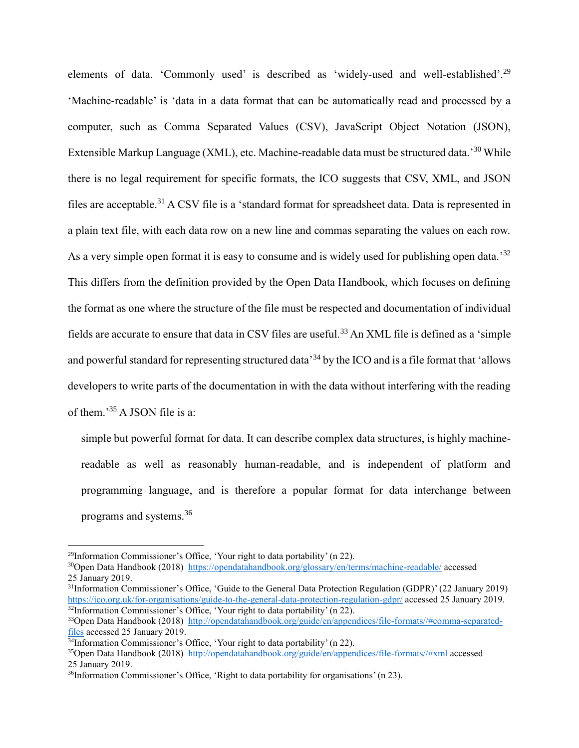elements of data. 'Commonly used' is described as 'widely-used and well-established'.<sup>29</sup> 'Machine-readable' is 'data in a data format that can be automatically read and processed by a computer, such as Comma Separated Values (CSV), JavaScript Object Notation (JSON), Extensible Markup Language (XML), etc. Machine-readable data must be structured data.<sup>30</sup> While there is no legal requirement for specific formats, the ICO suggests that CSV, XML, and JSON files are acceptable.<sup>31</sup> A CSV file is a 'standard format for spreadsheet data. Data is represented in a plain text file, with each data row on a new line and commas separating the values on each row. As a very simple open format it is easy to consume and is widely used for publishing open data.<sup>32</sup> This differs from the definition provided by the Open Data Handbook, which focuses on defining the format as one where the structure of the file must be respected and documentation of individual fields are accurate to ensure that data in CSV files are useful.<sup>33</sup> An XML file is defined as a 'simple and powerful standard for representing structured data<sup>34</sup> by the ICO and is a file format that 'allows developers to write parts of the documentation in with the data without interfering with the reading of them.'<sup>35</sup> A JSON file is a:

simple but powerful format for data. It can describe complex data structures, is highly machinereadable as well as reasonably human-readable, and is independent of platform and programming language, and is therefore a popular format for data interchange between programs and systems.<sup>36</sup>

<sup>29</sup>Information Commissioner's Office, 'Your right to data portability' (n 22).

<sup>30</sup>Open Data Handbook (2018) <https://opendatahandbook.org/glossary/en/terms/machine-readable/> accessed 25 January 2019.

<sup>31</sup>Information Commissioner's Office, 'Guide to the General Data Protection Regulation (GDPR)' (22 January 2019) <https://ico.org.uk/for-organisations/guide-to-the-general-data-protection-regulation-gdpr/> accessed 25 January 2019.  $32$ Information Commissioner's Office, 'Your right to data portability' (n 22).

<sup>33</sup>Open Data Handbook (2018) [http://opendatahandbook.org/guide/en/appendices/file-formats//#comma-separated](http://opendatahandbook.org/guide/en/appendices/file-formats/#comma-separated-files)[files](http://opendatahandbook.org/guide/en/appendices/file-formats/#comma-separated-files) accessed 25 January 2019.

 $\frac{34}{10}$ Information Commissioner's Office, 'Your right to data portability' (n 22).

<sup>35</sup>Open Data Handbook (2018) [http://opendatahandbook.org/guide/en/appendices/file-formats//#xml](http://opendatahandbook.org/guide/en/appendices/file-formats/#xml) accessed 25 January 2019.

<sup>36</sup>Information Commissioner's Office, 'Right to data portability for organisations' (n 23).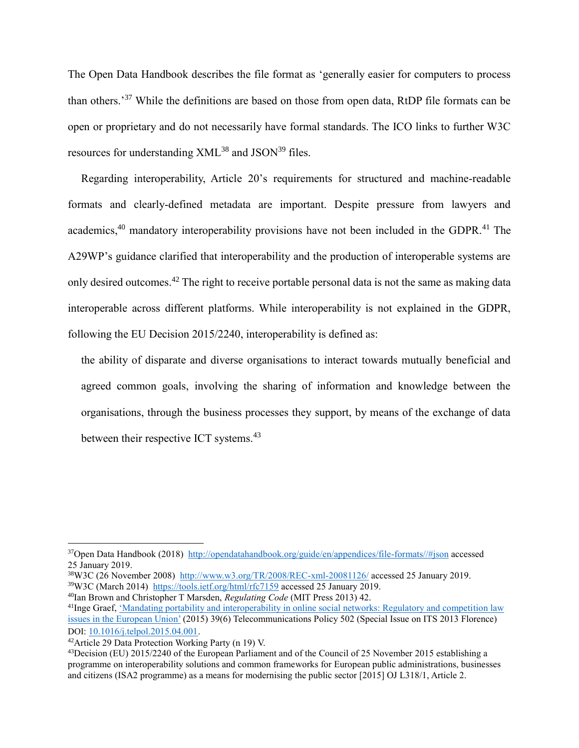The Open Data Handbook describes the file format as 'generally easier for computers to process than others.<sup>37</sup> While the definitions are based on those from open data, RtDP file formats can be open or proprietary and do not necessarily have formal standards. The ICO links to further W3C resources for understanding  $XML^{38}$  and  $ISON^{39}$  files.

Regarding interoperability, Article 20's requirements for structured and machine-readable formats and clearly-defined metadata are important. Despite pressure from lawyers and academics,<sup>40</sup> mandatory interoperability provisions have not been included in the GDPR.<sup>41</sup> The A29WP's guidance clarified that interoperability and the production of interoperable systems are only desired outcomes.<sup>42</sup> The right to receive portable personal data is not the same as making data interoperable across different platforms. While interoperability is not explained in the GDPR, following the EU Decision 2015/2240, interoperability is defined as:

the ability of disparate and diverse organisations to interact towards mutually beneficial and agreed common goals, involving the sharing of information and knowledge between the organisations, through the business processes they support, by means of the exchange of data between their respective ICT systems.<sup>43</sup>

<sup>37</sup>Open Data Handbook (2018) [http://opendatahandbook.org/guide/en/appendices/file-formats//#json](http://opendatahandbook.org/guide/en/appendices/file-formats/#json) accessed 25 January 2019.

<sup>38</sup>W3C (26 November 2008) <http://www.w3.org/TR/2008/REC-xml-20081126/> accessed 25 January 2019. <sup>39</sup>W3C (March 2014) <https://tools.ietf.org/html/rfc7159> accessed 25 January 2019.

<sup>40</sup>Ian Brown and Christopher T Marsden, *Regulating Code* (MIT Press 2013) 42.

<sup>41</sup>Inge Graef, ['Mandating portability and interoperability in online social networks: Regulatory and competition law](https://doi.org/10.1016/j.telpol.2015.04.001)  [issues in the European Union'](https://doi.org/10.1016/j.telpol.2015.04.001) (2015) 39(6) Telecommunications Policy 502 (Special Issue on ITS 2013 Florence) DOI: [10.1016/j.telpol.2015.04.001.](https://doi.org/10.1016/j.telpol.2015.04.001)

<sup>42</sup>Article 29 Data Protection Working Party (n 19) V.

<sup>43</sup>Decision (EU) 2015/2240 of the European Parliament and of the Council of 25 November 2015 establishing a programme on interoperability solutions and common frameworks for European public administrations, businesses and citizens (ISA2 programme) as a means for modernising the public sector [2015] OJ L318/1, Article 2.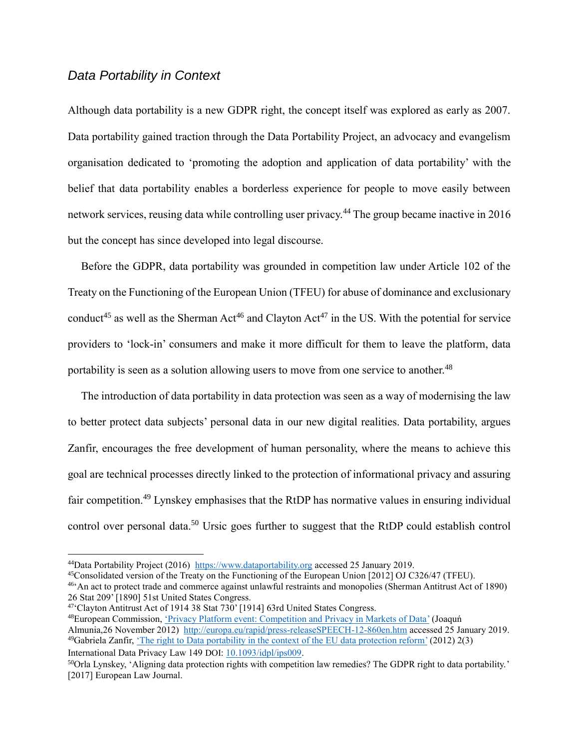#### *Data Portability in Context*

Although data portability is a new GDPR right, the concept itself was explored as early as 2007. Data portability gained traction through the Data Portability Project, an advocacy and evangelism organisation dedicated to 'promoting the adoption and application of data portability' with the belief that data portability enables a borderless experience for people to move easily between network services, reusing data while controlling user privacy.<sup>44</sup> The group became inactive in 2016 but the concept has since developed into legal discourse.

Before the GDPR, data portability was grounded in competition law under Article 102 of the Treaty on the Functioning of the European Union (TFEU) for abuse of dominance and exclusionary conduct<sup>45</sup> as well as the Sherman Act<sup>46</sup> and Clayton Act<sup>47</sup> in the US. With the potential for service providers to 'lock-in' consumers and make it more difficult for them to leave the platform, data portability is seen as a solution allowing users to move from one service to another.<sup>48</sup>

The introduction of data portability in data protection was seen as a way of modernising the law to better protect data subjects' personal data in our new digital realities. Data portability, argues Zanfir, encourages the free development of human personality, where the means to achieve this goal are technical processes directly linked to the protection of informational privacy and assuring fair competition.<sup>49</sup> Lynskey emphasises that the RtDP has normative values in ensuring individual control over personal data.<sup>50</sup> Ursic goes further to suggest that the RtDP could establish control

<u>.</u>

48 European Commission, ['Privacy Platform event: Competition and Privacy in Markets of Data'](http://europa.eu/rapid/press-release_SPEECH-12-860_en.htm) (Joaquń Almunia,26 November 2012) [http://europa.eu/rapid/press-releaseSPEECH-12-860en.htm](http://europa.eu/rapid/press-release_SPEECH-12-860_en.htm) accessed 25 January 2019. <sup>49</sup>Gabriela Zanfir, ['The right to Data portability in the context of the EU data protection reform'](https://doi.org/10.1093/idpl/ips009) (2012) 2(3) International Data Privacy Law 149 DOI: [10.1093/idpl/ips009.](https://doi.org/10.1093/idpl/ips009)

<sup>44</sup>Data Portability Project (2016) [https://www.dataportability.org](https://www.dataportability.org/) accessed 25 January 2019.

<sup>45</sup>Consolidated version of the Treaty on the Functioning of the European Union [2012] OJ C326/47 (TFEU).

<sup>46</sup> 'An act to protect trade and commerce against unlawful restraints and monopolies (Sherman Antitrust Act of 1890) 26 Stat 209' [1890] 51st United States Congress.

<sup>&</sup>lt;sup>47</sup> Clayton Antitrust Act of 1914 38 Stat 730' [1914] 63rd United States Congress.

<sup>50</sup>Orla Lynskey, 'Aligning data protection rights with competition law remedies? The GDPR right to data portability.' [2017] European Law Journal.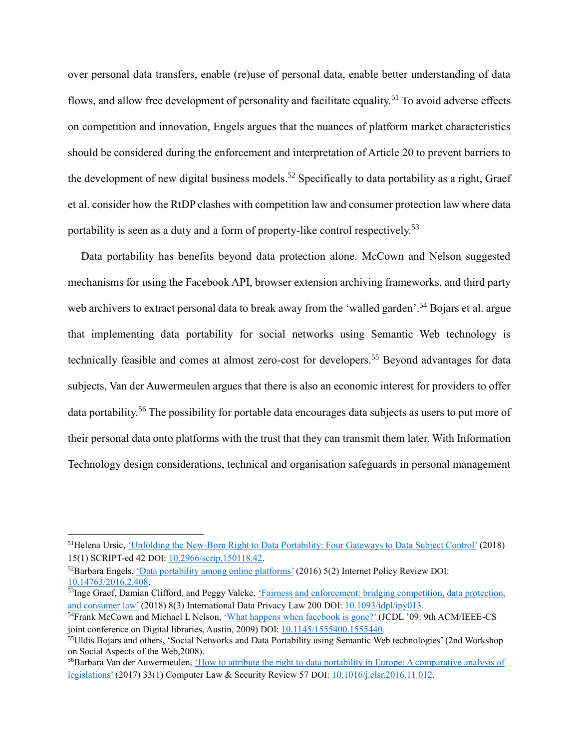over personal data transfers, enable (re)use of personal data, enable better understanding of data flows, and allow free development of personality and facilitate equality.<sup>51</sup> To avoid adverse effects on competition and innovation, Engels argues that the nuances of platform market characteristics should be considered during the enforcement and interpretation of Article 20 to prevent barriers to the development of new digital business models.<sup>52</sup> Specifically to data portability as a right, Graef et al. consider how the RtDP clashes with competition law and consumer protection law where data portability is seen as a duty and a form of property-like control respectively.<sup>53</sup>

Data portability has benefits beyond data protection alone. McCown and Nelson suggested mechanisms for using the Facebook API, browser extension archiving frameworks, and third party web archivers to extract personal data to break away from the 'walled garden'.<sup>54</sup> Bojars et al. argue that implementing data portability for social networks using Semantic Web technology is technically feasible and comes at almost zero-cost for developers.<sup>55</sup> Beyond advantages for data subjects, Van der Auwermeulen argues that there is also an economic interest for providers to offer data portability.<sup>56</sup> The possibility for portable data encourages data subjects as users to put more of their personal data onto platforms with the trust that they can transmit them later. With Information Technology design considerations, technical and organisation safeguards in personal management

<sup>&</sup>lt;sup>51</sup>Helena Ursic, <u>'Unfolding the New-Born Right to Data Portability: Four Gateways to Data Subject Control' (2018)</u> 15(1) SCRIPT-ed 42 DOI: [10.2966/scrip.150118.42.](https://doi.org/10.2966/scrip.150118.42)

<sup>52</sup>Barbara Engels, ['Data portability among online platforms'](https://doi.org/10.14763/2016.2.408) (2016) 5(2) Internet Policy Review DOI: [10.14763/2016.2.408.](https://doi.org/10.14763/2016.2.408)

<sup>&</sup>lt;sup>53</sup>Inge Graef, Damian Clifford, and Peggy Valcke, 'Fairness and enforcement: bridging competition, data protection, [and consumer law'](https://doi.org/10.1093/idpl/ipy013) (2018) 8(3) International Data Privacy Law 200 DOI: [10.1093/idpl/ipy013.](https://doi.org/10.1093/idpl/ipy013)

<sup>54</sup>Frank McCown and Michael L Nelson, ['What happens when facebook is gone?'](https://doi.org/10.1145/1555400.1555440) (JCDL '09: 9th ACM/IEEE-CS joint conference on Digital libraries, Austin, 2009) DOI: [10.1145/1555400.1555440.](https://doi.org/10.1145/1555400.1555440)

<sup>55</sup>Uldis Bojars and others, 'Social Networks and Data Portability using Semantic Web technologies' (2nd Workshop on Social Aspects of the Web,2008).

<sup>&</sup>lt;sup>56</sup>Barbara Van der Auwermeulen, 'How to attribute the right to data portability in Europe: A comparative analysis of [legislations'](https://doi.org/10.1016/j.clsr.2016.11.012) (2017) 33(1) Computer Law & Security Review 57 DOI: [10.1016/j.clsr.2016.11.012.](https://doi.org/10.1016/j.clsr.2016.11.012)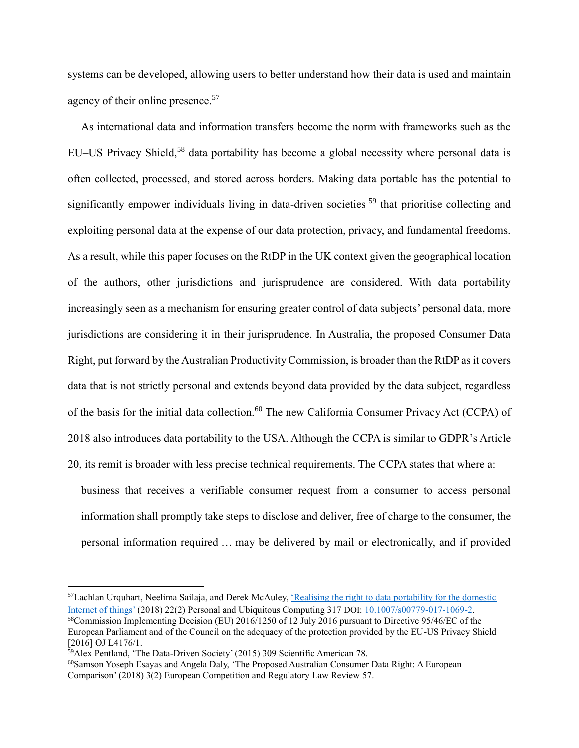systems can be developed, allowing users to better understand how their data is used and maintain agency of their online presence.<sup>57</sup>

As international data and information transfers become the norm with frameworks such as the EU–US Privacy Shield,<sup>58</sup> data portability has become a global necessity where personal data is often collected, processed, and stored across borders. Making data portable has the potential to significantly empower individuals living in data-driven societies <sup>59</sup> that prioritise collecting and exploiting personal data at the expense of our data protection, privacy, and fundamental freedoms. As a result, while this paper focuses on the RtDP in the UK context given the geographical location of the authors, other jurisdictions and jurisprudence are considered. With data portability increasingly seen as a mechanism for ensuring greater control of data subjects' personal data, more jurisdictions are considering it in their jurisprudence. In Australia, the proposed Consumer Data Right, put forward by the Australian Productivity Commission, is broader than the RtDP as it covers data that is not strictly personal and extends beyond data provided by the data subject, regardless of the basis for the initial data collection.<sup>60</sup> The new California Consumer Privacy Act (CCPA) of 2018 also introduces data portability to the USA. Although the CCPA is similar to GDPR's Article 20, its remit is broader with less precise technical requirements. The CCPA states that where a:

business that receives a verifiable consumer request from a consumer to access personal information shall promptly take steps to disclose and deliver, free of charge to the consumer, the personal information required … may be delivered by mail or electronically, and if provided

<sup>57</sup>Lachlan Urquhart, Neelima Sailaja, and Derek McAuley, <u>'Realising the right to data portability for the domestic</u> [Internet of things'](https://doi.org/10.1007/s00779-017-1069-2) (2018) 22(2) Personal and Ubiquitous Computing 317 DOI: [10.1007/s00779-017-1069-2.](https://doi.org/10.1007/s00779-017-1069-2) <sup>58</sup>Commission Implementing Decision (EU) 2016/1250 of 12 July 2016 pursuant to Directive 95/46/EC of the European Parliament and of the Council on the adequacy of the protection provided by the EU-US Privacy Shield [2016] OJ L4176/1.

<sup>59</sup>Alex Pentland, 'The Data-Driven Society' (2015) 309 Scientific American 78.

<sup>60</sup>Samson Yoseph Esayas and Angela Daly, 'The Proposed Australian Consumer Data Right: A European Comparison' (2018) 3(2) European Competition and Regulatory Law Review 57.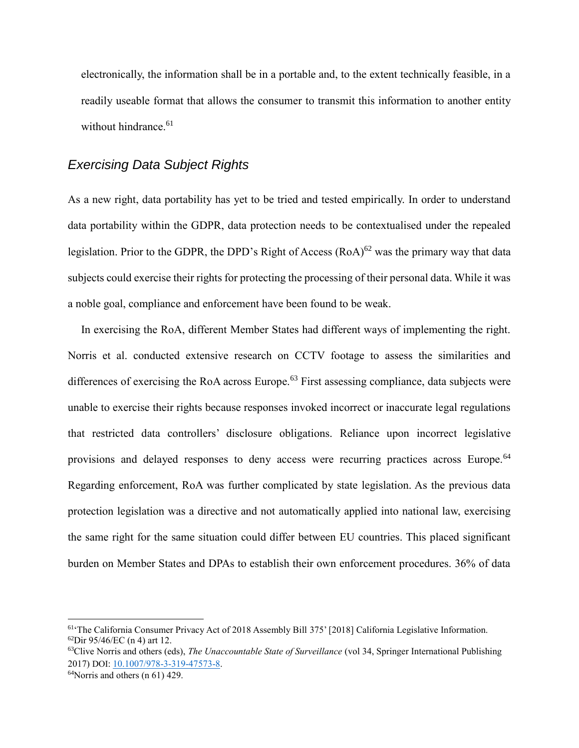electronically, the information shall be in a portable and, to the extent technically feasible, in a readily useable format that allows the consumer to transmit this information to another entity without hindrance.<sup>61</sup>

#### *Exercising Data Subject Rights*

As a new right, data portability has yet to be tried and tested empirically. In order to understand data portability within the GDPR, data protection needs to be contextualised under the repealed legislation. Prior to the GDPR, the DPD's Right of Access  $(RoA)^{62}$  was the primary way that data subjects could exercise their rights for protecting the processing of their personal data. While it was a noble goal, compliance and enforcement have been found to be weak.

In exercising the RoA, different Member States had different ways of implementing the right. Norris et al. conducted extensive research on CCTV footage to assess the similarities and differences of exercising the RoA across Europe.<sup>63</sup> First assessing compliance, data subjects were unable to exercise their rights because responses invoked incorrect or inaccurate legal regulations that restricted data controllers' disclosure obligations. Reliance upon incorrect legislative provisions and delayed responses to deny access were recurring practices across Europe.<sup>64</sup> Regarding enforcement, RoA was further complicated by state legislation. As the previous data protection legislation was a directive and not automatically applied into national law, exercising the same right for the same situation could differ between EU countries. This placed significant burden on Member States and DPAs to establish their own enforcement procedures. 36% of data

<sup>&</sup>lt;sup>61</sup>'The California Consumer Privacy Act of 2018 Assembly Bill 375' [2018] California Legislative Information. <sup>62</sup>Dir 95/46/EC (n 4) art 12.

<sup>63</sup>Clive Norris and others (eds), *[The Unaccountable State of Surveillance](https://doi.org/10.1007/978-3-319-47573-8)* (vol 34, Springer International Publishing 2017) DOI: [10.1007/978-3-319-47573-8.](https://doi.org/10.1007/978-3-319-47573-8)

 $64$ Norris and others (n 61) 429.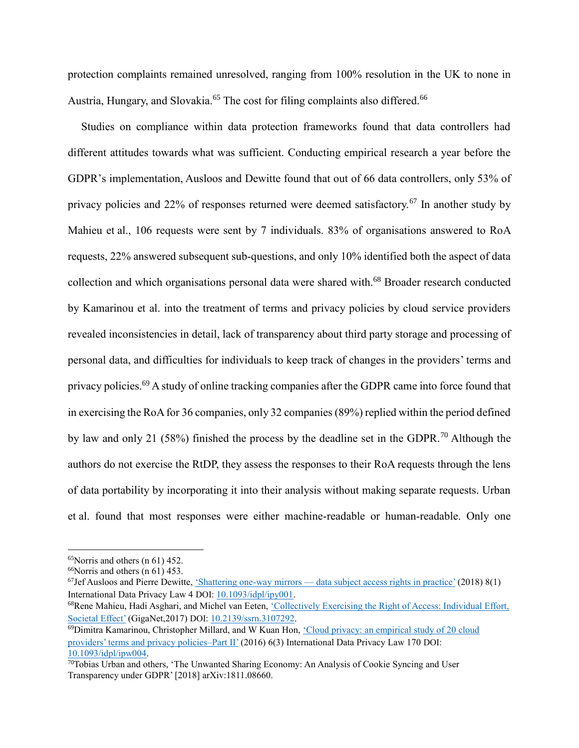protection complaints remained unresolved, ranging from 100% resolution in the UK to none in Austria, Hungary, and Slovakia.<sup>65</sup> The cost for filing complaints also differed.<sup>66</sup>

Studies on compliance within data protection frameworks found that data controllers had different attitudes towards what was sufficient. Conducting empirical research a year before the GDPR's implementation, Ausloos and Dewitte found that out of 66 data controllers, only 53% of privacy policies and 22% of responses returned were deemed satisfactory.<sup>67</sup> In another study by Mahieu et al., 106 requests were sent by 7 individuals. 83% of organisations answered to RoA requests, 22% answered subsequent sub-questions, and only 10% identified both the aspect of data collection and which organisations personal data were shared with.<sup>68</sup> Broader research conducted by Kamarinou et al. into the treatment of terms and privacy policies by cloud service providers revealed inconsistencies in detail, lack of transparency about third party storage and processing of personal data, and difficulties for individuals to keep track of changes in the providers' terms and privacy policies.<sup>69</sup> A study of online tracking companies after the GDPR came into force found that in exercising the RoA for 36 companies, only 32 companies (89%) replied within the period defined by law and only 21 (58%) finished the process by the deadline set in the GDPR.<sup>70</sup> Although the authors do not exercise the RtDP, they assess the responses to their RoA requests through the lens of data portability by incorporating it into their analysis without making separate requests. Urban et al. found that most responses were either machine-readable or human-readable. Only one

<sup>65</sup>Norris and others (n 61) 452.

 $66$ Norris and others (n 61) 453.

 $^{67}$ Jef Ausloos and Pierre Dewitte, 'Shattering one-way mirrors — [data subject access rights in practice'](https://doi.org/10.1093/idpl/ipy001) (2018) 8(1) International Data Privacy Law 4 DOI: [10.1093/idpl/ipy001.](https://doi.org/10.1093/idpl/ipy001)

<sup>68</sup>Rene Mahieu, Hadi Asghari, and Michel van Eeten, ['Collectively Exercising the Right of Access: Individual Effort,](https://doi.org/10.2139/ssrn.3107292)  [Societal Effect'](https://doi.org/10.2139/ssrn.3107292) (GigaNet,2017) DOI[: 10.2139/ssrn.3107292.](https://doi.org/10.2139/ssrn.3107292)

<sup>69</sup> Dimitra Kamarinou, Christopher Millard, and W Kuan Hon, 'Cloud privacy: an empirical study of 20 cloud [providers' terms and privacy policies–Part II'](https://doi.org/10.1093/idpl/ipw004) (2016) 6(3) International Data Privacy Law 170 DOI: [10.1093/idpl/ipw004.](https://doi.org/10.1093/idpl/ipw004)

<sup>&</sup>lt;sup>70</sup>Tobias Urban and others, 'The Unwanted Sharing Economy: An Analysis of Cookie Syncing and User Transparency under GDPR' [2018] arXiv:1811.08660.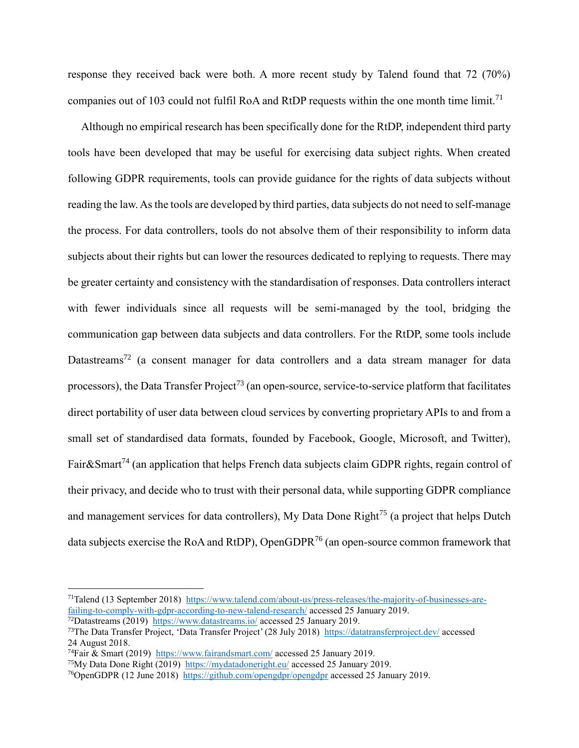response they received back were both. A more recent study by Talend found that 72 (70%) companies out of 103 could not fulfil RoA and RtDP requests within the one month time limit.<sup>71</sup>

Although no empirical research has been specifically done for the RtDP, independent third party tools have been developed that may be useful for exercising data subject rights. When created following GDPR requirements, tools can provide guidance for the rights of data subjects without reading the law. As the tools are developed by third parties, data subjects do not need to self-manage the process. For data controllers, tools do not absolve them of their responsibility to inform data subjects about their rights but can lower the resources dedicated to replying to requests. There may be greater certainty and consistency with the standardisation of responses. Data controllers interact with fewer individuals since all requests will be semi-managed by the tool, bridging the communication gap between data subjects and data controllers. For the RtDP, some tools include Datastreams<sup>72</sup> (a consent manager for data controllers and a data stream manager for data processors), the Data Transfer Project<sup>73</sup> (an open-source, service-to-service platform that facilitates direct portability of user data between cloud services by converting proprietary APIs to and from a small set of standardised data formats, founded by Facebook, Google, Microsoft, and Twitter), Fair&Smart<sup>74</sup> (an application that helps French data subjects claim GDPR rights, regain control of their privacy, and decide who to trust with their personal data, while supporting GDPR compliance and management services for data controllers), My Data Done Right<sup>75</sup> (a project that helps Dutch data subjects exercise the RoA and RtDP), OpenGDPR<sup>76</sup> (an open-source common framework that

<sup>71</sup>Talend (13 September 2018) [https://www.talend.com/about-us/press-releases/the-majority-of-businesses-are](https://www.talend.com/about-us/press-releases/the-majority-of-businesses-are-failing-to-comply-with-gdpr-according-to-new-talend-research/)[failing-to-comply-with-gdpr-according-to-new-talend-research/](https://www.talend.com/about-us/press-releases/the-majority-of-businesses-are-failing-to-comply-with-gdpr-according-to-new-talend-research/) accessed 25 January 2019. <sup>72</sup>Datastreams (2019) <https://www.datastreams.io/> accessed 25 January 2019.

<sup>73</sup>The Data Transfer Project, 'Data Transfer Project' (28 July 2018) <https://datatransferproject.dev/> accessed 24 August 2018.

<sup>74</sup>Fair & Smart (2019) <https://www.fairandsmart.com/> accessed 25 January 2019.

<sup>75</sup>My Data Done Right (2019) <https://mydatadoneright.eu/> accessed 25 January 2019.

<sup>76</sup>OpenGDPR (12 June 2018) <https://github.com/opengdpr/opengdpr> accessed 25 January 2019.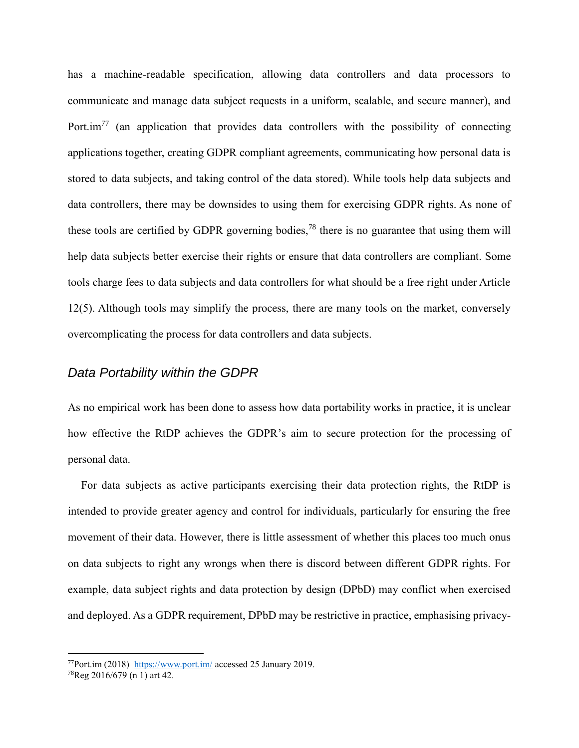has a machine-readable specification, allowing data controllers and data processors to communicate and manage data subject requests in a uniform, scalable, and secure manner), and Port. $\text{im}^{77}$  (an application that provides data controllers with the possibility of connecting applications together, creating GDPR compliant agreements, communicating how personal data is stored to data subjects, and taking control of the data stored). While tools help data subjects and data controllers, there may be downsides to using them for exercising GDPR rights. As none of these tools are certified by GDPR governing bodies,<sup>78</sup> there is no guarantee that using them will help data subjects better exercise their rights or ensure that data controllers are compliant. Some tools charge fees to data subjects and data controllers for what should be a free right under Article 12(5). Although tools may simplify the process, there are many tools on the market, conversely overcomplicating the process for data controllers and data subjects.

#### *Data Portability within the GDPR*

As no empirical work has been done to assess how data portability works in practice, it is unclear how effective the RtDP achieves the GDPR's aim to secure protection for the processing of personal data.

For data subjects as active participants exercising their data protection rights, the RtDP is intended to provide greater agency and control for individuals, particularly for ensuring the free movement of their data. However, there is little assessment of whether this places too much onus on data subjects to right any wrongs when there is discord between different GDPR rights. For example, data subject rights and data protection by design (DPbD) may conflict when exercised and deployed. As a GDPR requirement, DPbD may be restrictive in practice, emphasising privacy-

<sup>77</sup>Port.im (2018) <https://www.port.im/> accessed 25 January 2019.

<sup>78</sup>Reg 2016/679 (n 1) art 42.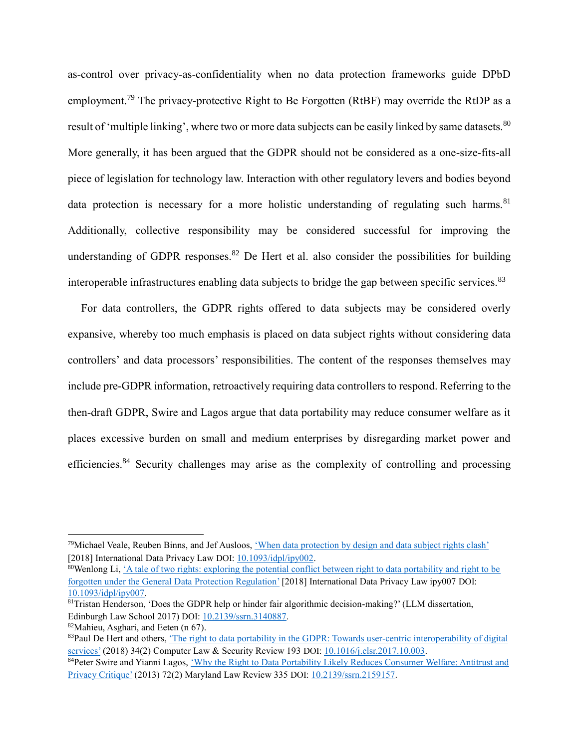as-control over privacy-as-confidentiality when no data protection frameworks guide DPbD employment.<sup>79</sup> The privacy-protective Right to Be Forgotten (RtBF) may override the RtDP as a result of 'multiple linking', where two or more data subjects can be easily linked by same datasets.<sup>80</sup> More generally, it has been argued that the GDPR should not be considered as a one-size-fits-all piece of legislation for technology law. Interaction with other regulatory levers and bodies beyond data protection is necessary for a more holistic understanding of regulating such harms.<sup>81</sup> Additionally, collective responsibility may be considered successful for improving the understanding of GDPR responses.<sup>82</sup> De Hert et al. also consider the possibilities for building interoperable infrastructures enabling data subjects to bridge the gap between specific services.<sup>83</sup>

For data controllers, the GDPR rights offered to data subjects may be considered overly expansive, whereby too much emphasis is placed on data subject rights without considering data controllers' and data processors' responsibilities. The content of the responses themselves may include pre-GDPR information, retroactively requiring data controllers to respond. Referring to the then-draft GDPR, Swire and Lagos argue that data portability may reduce consumer welfare as it places excessive burden on small and medium enterprises by disregarding market power and efficiencies.<sup>84</sup> Security challenges may arise as the complexity of controlling and processing

<sup>80</sup>Wenlong Li[, 'A tale of two rights: exploring the potential conflict between right to data portability and right to be](https://doi.org/10.1093/idpl/ipy007)  [forgotten under the General Data Protection Regulation'](https://doi.org/10.1093/idpl/ipy007) [2018] International Data Privacy Law ipy007 DOI: [10.1093/idpl/ipy007.](https://doi.org/10.1093/idpl/ipy007)

<sup>79</sup>Michael Veale, Reuben Binns, and Jef Ausloos, ['When data protection by design and data subject rights clash'](https://doi.org/10.1093/idpl/ipy002) [2018] International Data Privacy Law DOI[: 10.1093/idpl/ipy002.](https://doi.org/10.1093/idpl/ipy002)

<sup>81</sup>Tristan Henderson, 'Does the GDPR help or hinder fair algorithmic decision-making?' (LLM dissertation, Edinburgh Law School 2017) DOI: [10.2139/ssrn.3140887.](https://doi.org/10.2139/ssrn.3140887)

<sup>82</sup>Mahieu, Asghari, and Eeten (n 67).

<sup>83</sup>Paul De Hert and others, 'The right to data portability in the GDPR: Towards user-centric interoperability of digital [services'](https://doi.org/10.1016/j.clsr.2017.10.003) (2018) 34(2) Computer Law & Security Review 193 DOI: [10.1016/j.clsr.2017.10.003.](https://doi.org/10.1016/j.clsr.2017.10.003)

<sup>84</sup>Peter Swire and Yianni Lagos, 'Why the Right to Data Portability Likely Reduces Consumer Welfare: Antitrust and [Privacy Critique'](https://doi.org/10.2139/ssrn.2159157) (2013) 72(2) Maryland Law Review 335 DOI[: 10.2139/ssrn.2159157.](https://doi.org/10.2139/ssrn.2159157)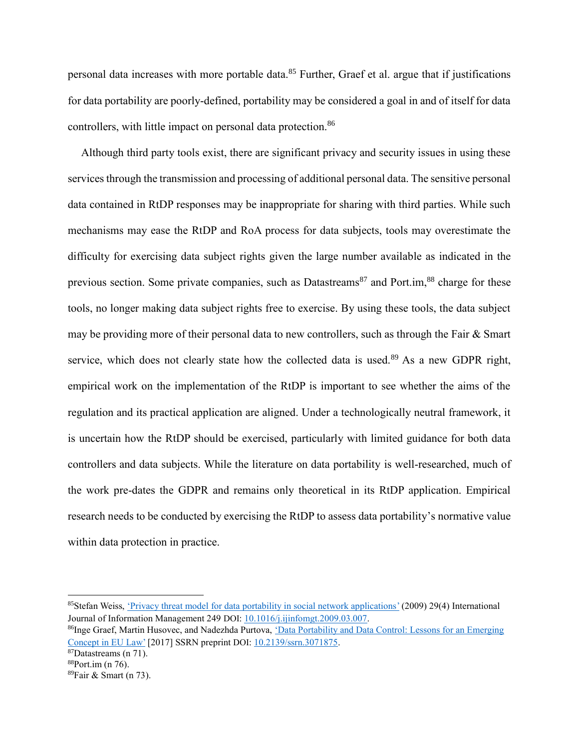personal data increases with more portable data.<sup>85</sup> Further, Graef et al. argue that if justifications for data portability are poorly-defined, portability may be considered a goal in and of itself for data controllers, with little impact on personal data protection.<sup>86</sup>

Although third party tools exist, there are significant privacy and security issues in using these services through the transmission and processing of additional personal data. The sensitive personal data contained in RtDP responses may be inappropriate for sharing with third parties. While such mechanisms may ease the RtDP and RoA process for data subjects, tools may overestimate the difficulty for exercising data subject rights given the large number available as indicated in the previous section. Some private companies, such as Datastreams<sup>87</sup> and Port.im,  $88$  charge for these tools, no longer making data subject rights free to exercise. By using these tools, the data subject may be providing more of their personal data to new controllers, such as through the Fair & Smart service, which does not clearly state how the collected data is used.<sup>89</sup> As a new GDPR right, empirical work on the implementation of the RtDP is important to see whether the aims of the regulation and its practical application are aligned. Under a technologically neutral framework, it is uncertain how the RtDP should be exercised, particularly with limited guidance for both data controllers and data subjects. While the literature on data portability is well-researched, much of the work pre-dates the GDPR and remains only theoretical in its RtDP application. Empirical research needs to be conducted by exercising the RtDP to assess data portability's normative value within data protection in practice.

<sup>85</sup>Stefan Weiss, ['Privacy threat model for data portability in social network applications'](https://doi.org/10.1016/j.ijinfomgt.2009.03.007) (2009) 29(4) International Journal of Information Management 249 DOI: [10.1016/j.ijinfomgt.2009.03.007.](https://doi.org/10.1016/j.ijinfomgt.2009.03.007)

<sup>86</sup>Inge Graef, Martin Husovec, and Nadezhda Purtova, 'Data Portability and Data Control: Lessons for an Emerging [Concept in EU Law'](https://doi.org/10.2139/ssrn.3071875) [2017] SSRN preprint DOI: [10.2139/ssrn.3071875.](https://doi.org/10.2139/ssrn.3071875)

<sup>87</sup>Datastreams (n 71).

<sup>88</sup>Port.im (n 76).

<sup>89</sup>Fair & Smart (n 73).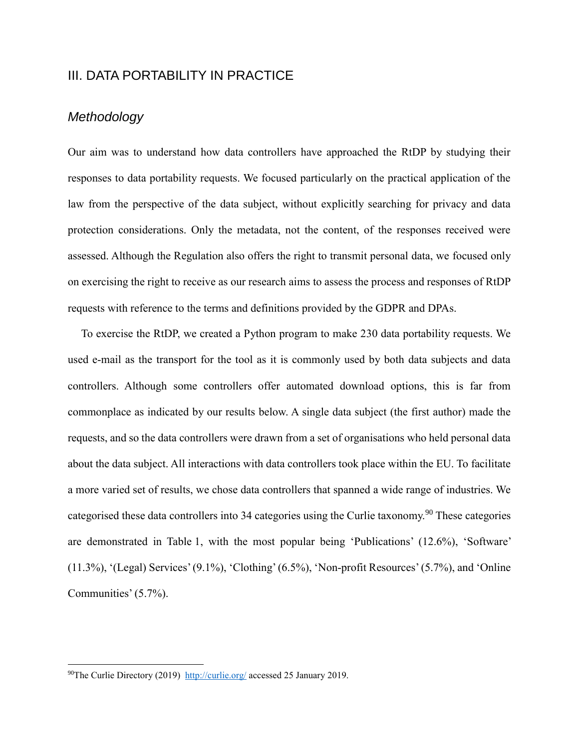# III. DATA PORTABILITY IN PRACTICE

# *Methodology*

Our aim was to understand how data controllers have approached the RtDP by studying their responses to data portability requests. We focused particularly on the practical application of the law from the perspective of the data subject, without explicitly searching for privacy and data protection considerations. Only the metadata, not the content, of the responses received were assessed. Although the Regulation also offers the right to transmit personal data, we focused only on exercising the right to receive as our research aims to assess the process and responses of RtDP requests with reference to the terms and definitions provided by the GDPR and DPAs.

To exercise the RtDP, we created a Python program to make 230 data portability requests. We used e-mail as the transport for the tool as it is commonly used by both data subjects and data controllers. Although some controllers offer automated download options, this is far from commonplace as indicated by our results below. A single data subject (the first author) made the requests, and so the data controllers were drawn from a set of organisations who held personal data about the data subject. All interactions with data controllers took place within the EU. To facilitate a more varied set of results, we chose data controllers that spanned a wide range of industries. We categorised these data controllers into 34 categories using the Curlie taxonomy.<sup>90</sup> These categories are demonstrated in Table 1, with the most popular being 'Publications' (12.6%), 'Software' (11.3%), '(Legal) Services' (9.1%), 'Clothing' (6.5%), 'Non-profit Resources' (5.7%), and 'Online Communities' (5.7%).

<sup>&</sup>lt;sup>90</sup>The Curlie Directory (2019)<http://curlie.org/> accessed 25 January 2019.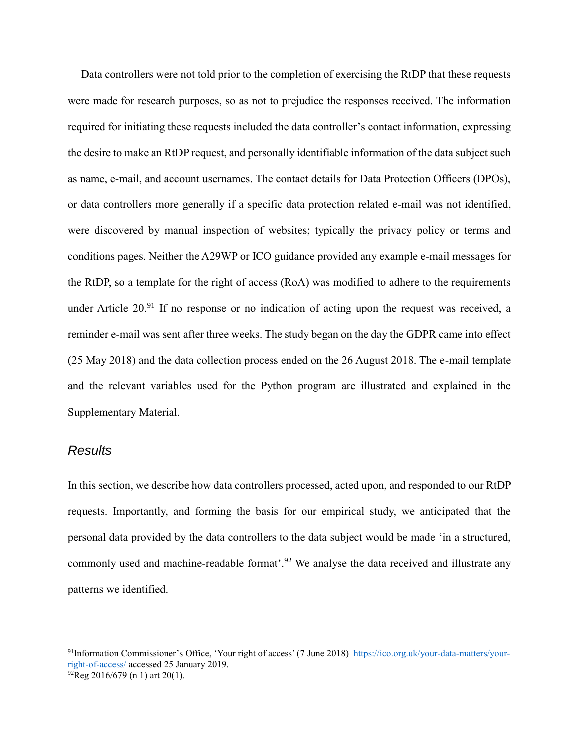Data controllers were not told prior to the completion of exercising the RtDP that these requests were made for research purposes, so as not to prejudice the responses received. The information required for initiating these requests included the data controller's contact information, expressing the desire to make an RtDP request, and personally identifiable information of the data subject such as name, e-mail, and account usernames. The contact details for Data Protection Officers (DPOs), or data controllers more generally if a specific data protection related e-mail was not identified, were discovered by manual inspection of websites; typically the privacy policy or terms and conditions pages. Neither the A29WP or ICO guidance provided any example e-mail messages for the RtDP, so a template for the right of access (RoA) was modified to adhere to the requirements under Article  $20<sup>91</sup>$  If no response or no indication of acting upon the request was received, a reminder e-mail was sent after three weeks. The study began on the day the GDPR came into effect (25 May 2018) and the data collection process ended on the 26 August 2018. The e-mail template and the relevant variables used for the Python program are illustrated and explained in the Supplementary Material.

#### *Results*

1

In this section, we describe how data controllers processed, acted upon, and responded to our RtDP requests. Importantly, and forming the basis for our empirical study, we anticipated that the personal data provided by the data controllers to the data subject would be made 'in a structured, commonly used and machine-readable format'.<sup>92</sup> We analyse the data received and illustrate any patterns we identified.

<sup>91</sup>Information Commissioner's Office, 'Your right of access' (7 June 2018) [https://ico.org.uk/your-data-matters/your](https://ico.org.uk/your-data-matters/your-right-of-access/)[right-of-access/](https://ico.org.uk/your-data-matters/your-right-of-access/) accessed 25 January 2019.

 $^{92}$ Reg 2016/679 (n 1) art 20(1).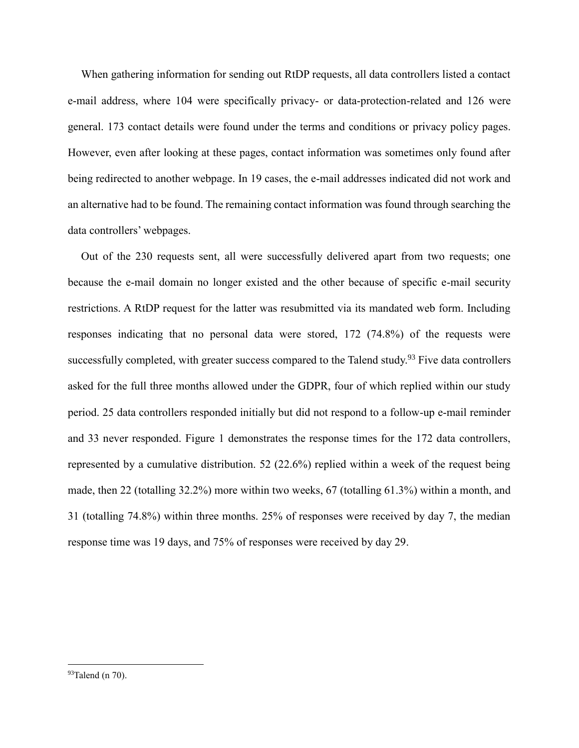When gathering information for sending out RtDP requests, all data controllers listed a contact e-mail address, where 104 were specifically privacy- or data-protection-related and 126 were general. 173 contact details were found under the terms and conditions or privacy policy pages. However, even after looking at these pages, contact information was sometimes only found after being redirected to another webpage. In 19 cases, the e-mail addresses indicated did not work and an alternative had to be found. The remaining contact information was found through searching the data controllers' webpages.

Out of the 230 requests sent, all were successfully delivered apart from two requests; one because the e-mail domain no longer existed and the other because of specific e-mail security restrictions. A RtDP request for the latter was resubmitted via its mandated web form. Including responses indicating that no personal data were stored, 172 (74.8%) of the requests were successfully completed, with greater success compared to the Talend study.<sup>93</sup> Five data controllers asked for the full three months allowed under the GDPR, four of which replied within our study period. 25 data controllers responded initially but did not respond to a follow-up e-mail reminder and 33 never responded. Figure 1 demonstrates the response times for the 172 data controllers, represented by a cumulative distribution. 52 (22.6%) replied within a week of the request being made, then 22 (totalling 32.2%) more within two weeks, 67 (totalling 61.3%) within a month, and 31 (totalling 74.8%) within three months. 25% of responses were received by day 7, the median response time was 19 days, and 75% of responses were received by day 29.

 $93$ Talend (n 70).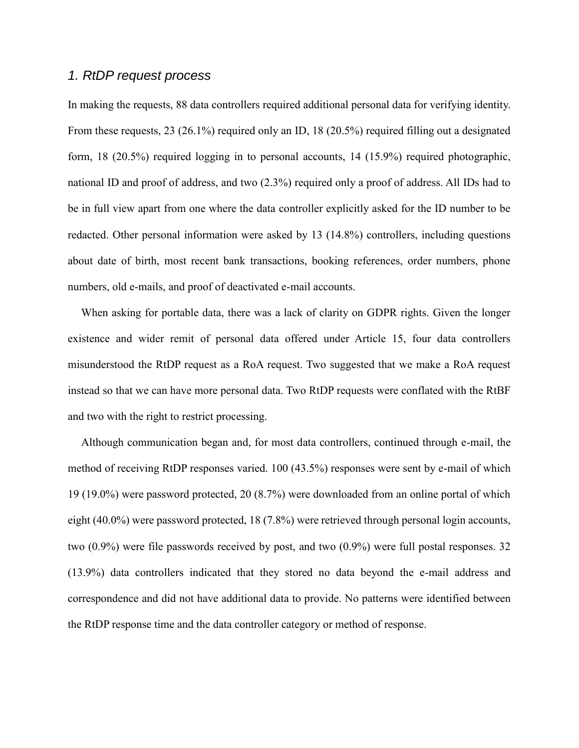#### *1. RtDP request process*

In making the requests, 88 data controllers required additional personal data for verifying identity. From these requests, 23 (26.1%) required only an ID, 18 (20.5%) required filling out a designated form, 18 (20.5%) required logging in to personal accounts, 14 (15.9%) required photographic, national ID and proof of address, and two (2.3%) required only a proof of address. All IDs had to be in full view apart from one where the data controller explicitly asked for the ID number to be redacted. Other personal information were asked by 13 (14.8%) controllers, including questions about date of birth, most recent bank transactions, booking references, order numbers, phone numbers, old e-mails, and proof of deactivated e-mail accounts.

When asking for portable data, there was a lack of clarity on GDPR rights. Given the longer existence and wider remit of personal data offered under Article 15, four data controllers misunderstood the RtDP request as a RoA request. Two suggested that we make a RoA request instead so that we can have more personal data. Two RtDP requests were conflated with the RtBF and two with the right to restrict processing.

Although communication began and, for most data controllers, continued through e-mail, the method of receiving RtDP responses varied. 100 (43.5%) responses were sent by e-mail of which 19 (19.0%) were password protected, 20 (8.7%) were downloaded from an online portal of which eight (40.0%) were password protected, 18 (7.8%) were retrieved through personal login accounts, two (0.9%) were file passwords received by post, and two (0.9%) were full postal responses. 32 (13.9%) data controllers indicated that they stored no data beyond the e-mail address and correspondence and did not have additional data to provide. No patterns were identified between the RtDP response time and the data controller category or method of response.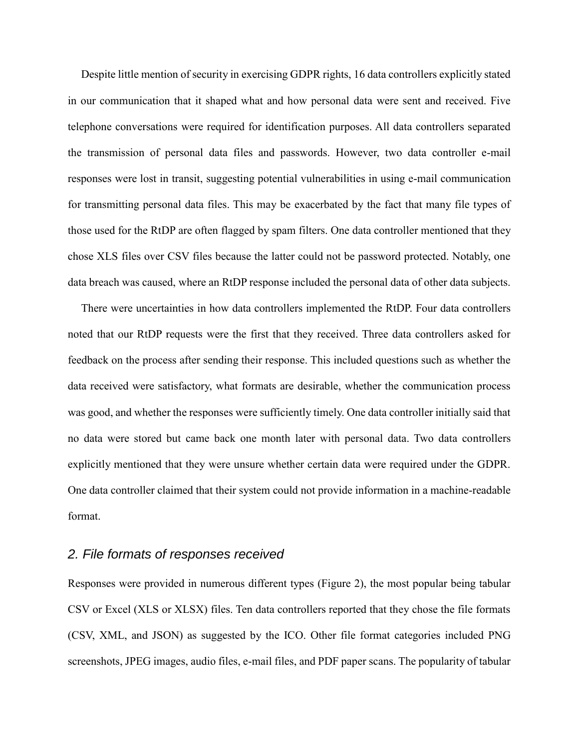Despite little mention of security in exercising GDPR rights, 16 data controllers explicitly stated in our communication that it shaped what and how personal data were sent and received. Five telephone conversations were required for identification purposes. All data controllers separated the transmission of personal data files and passwords. However, two data controller e-mail responses were lost in transit, suggesting potential vulnerabilities in using e-mail communication for transmitting personal data files. This may be exacerbated by the fact that many file types of those used for the RtDP are often flagged by spam filters. One data controller mentioned that they chose XLS files over CSV files because the latter could not be password protected. Notably, one data breach was caused, where an RtDP response included the personal data of other data subjects.

There were uncertainties in how data controllers implemented the RtDP. Four data controllers noted that our RtDP requests were the first that they received. Three data controllers asked for feedback on the process after sending their response. This included questions such as whether the data received were satisfactory, what formats are desirable, whether the communication process was good, and whether the responses were sufficiently timely. One data controller initially said that no data were stored but came back one month later with personal data. Two data controllers explicitly mentioned that they were unsure whether certain data were required under the GDPR. One data controller claimed that their system could not provide information in a machine-readable format.

#### *2. File formats of responses received*

Responses were provided in numerous different types (Figure 2), the most popular being tabular CSV or Excel (XLS or XLSX) files. Ten data controllers reported that they chose the file formats (CSV, XML, and JSON) as suggested by the ICO. Other file format categories included PNG screenshots, JPEG images, audio files, e-mail files, and PDF paper scans. The popularity of tabular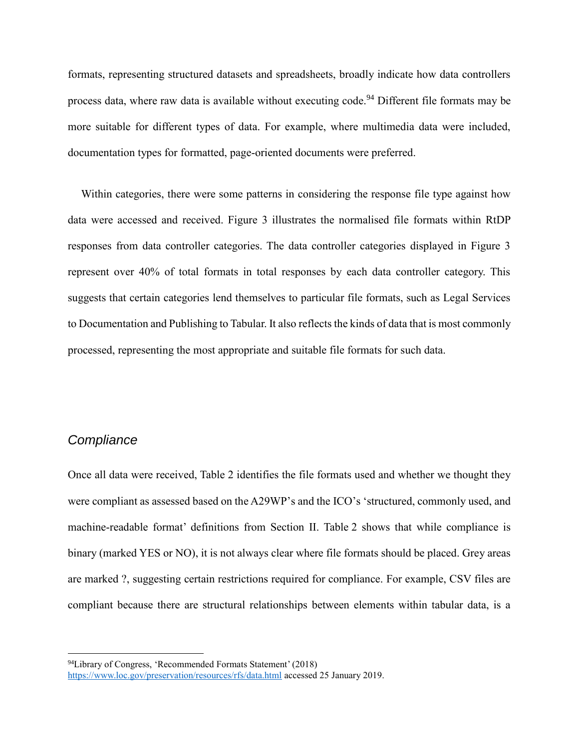formats, representing structured datasets and spreadsheets, broadly indicate how data controllers process data, where raw data is available without executing code.<sup>94</sup> Different file formats may be more suitable for different types of data. For example, where multimedia data were included, documentation types for formatted, page-oriented documents were preferred.

Within categories, there were some patterns in considering the response file type against how data were accessed and received. Figure 3 illustrates the normalised file formats within RtDP responses from data controller categories. The data controller categories displayed in Figure 3 represent over 40% of total formats in total responses by each data controller category. This suggests that certain categories lend themselves to particular file formats, such as Legal Services to Documentation and Publishing to Tabular. It also reflects the kinds of data that is most commonly processed, representing the most appropriate and suitable file formats for such data.

#### *Compliance*

<u>.</u>

Once all data were received, Table 2 identifies the file formats used and whether we thought they were compliant as assessed based on the A29WP's and the ICO's 'structured, commonly used, and machine-readable format' definitions from Section II. Table 2 shows that while compliance is binary (marked YES or NO), it is not always clear where file formats should be placed. Grey areas are marked ?, suggesting certain restrictions required for compliance. For example, CSV files are compliant because there are structural relationships between elements within tabular data, is a

<sup>94</sup>Library of Congress, 'Recommended Formats Statement' (2018) <https://www.loc.gov/preservation/resources/rfs/data.html> accessed 25 January 2019.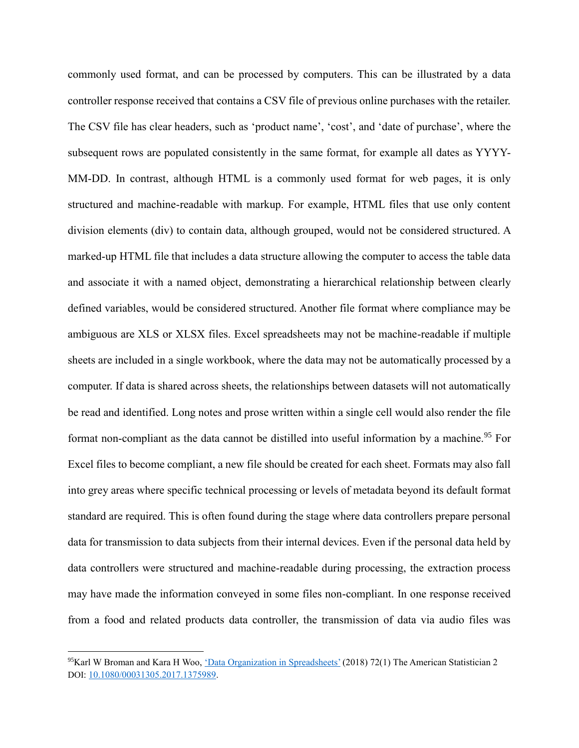commonly used format, and can be processed by computers. This can be illustrated by a data controller response received that contains a CSV file of previous online purchases with the retailer. The CSV file has clear headers, such as 'product name', 'cost', and 'date of purchase', where the subsequent rows are populated consistently in the same format, for example all dates as YYYY-MM-DD. In contrast, although HTML is a commonly used format for web pages, it is only structured and machine-readable with markup. For example, HTML files that use only content division elements (div) to contain data, although grouped, would not be considered structured. A marked-up HTML file that includes a data structure allowing the computer to access the table data and associate it with a named object, demonstrating a hierarchical relationship between clearly defined variables, would be considered structured. Another file format where compliance may be ambiguous are XLS or XLSX files. Excel spreadsheets may not be machine-readable if multiple sheets are included in a single workbook, where the data may not be automatically processed by a computer. If data is shared across sheets, the relationships between datasets will not automatically be read and identified. Long notes and prose written within a single cell would also render the file format non-compliant as the data cannot be distilled into useful information by a machine.<sup>95</sup> For Excel files to become compliant, a new file should be created for each sheet. Formats may also fall into grey areas where specific technical processing or levels of metadata beyond its default format standard are required. This is often found during the stage where data controllers prepare personal data for transmission to data subjects from their internal devices. Even if the personal data held by data controllers were structured and machine-readable during processing, the extraction process may have made the information conveyed in some files non-compliant. In one response received from a food and related products data controller, the transmission of data via audio files was

<sup>&</sup>lt;sup>95</sup>Karl W Broman and Kara H Woo, <u>'Data Organization in Spreadsheets'</u> (2018) 72(1) The American Statistician 2 DOI: [10.1080/00031305.2017.1375989.](https://doi.org/10.1080/00031305.2017.1375989)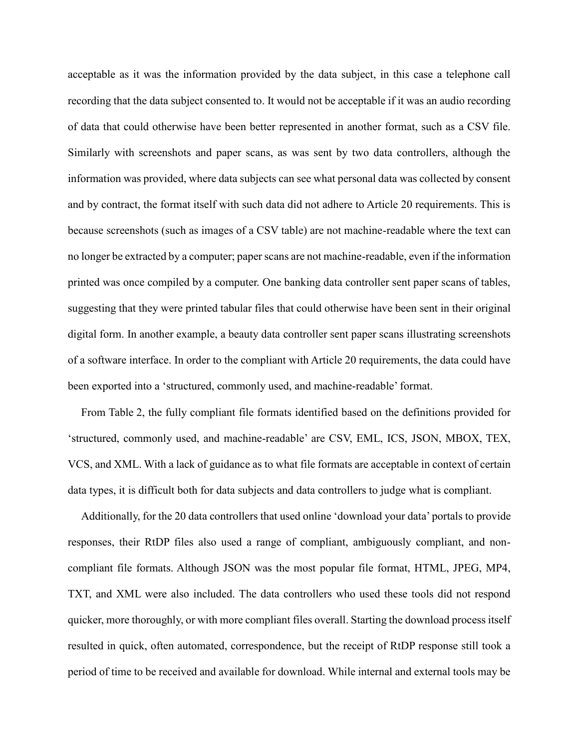acceptable as it was the information provided by the data subject, in this case a telephone call recording that the data subject consented to. It would not be acceptable if it was an audio recording of data that could otherwise have been better represented in another format, such as a CSV file. Similarly with screenshots and paper scans, as was sent by two data controllers, although the information was provided, where data subjects can see what personal data was collected by consent and by contract, the format itself with such data did not adhere to Article 20 requirements. This is because screenshots (such as images of a CSV table) are not machine-readable where the text can no longer be extracted by a computer; paper scans are not machine-readable, even if the information printed was once compiled by a computer. One banking data controller sent paper scans of tables, suggesting that they were printed tabular files that could otherwise have been sent in their original digital form. In another example, a beauty data controller sent paper scans illustrating screenshots of a software interface. In order to the compliant with Article 20 requirements, the data could have been exported into a 'structured, commonly used, and machine-readable' format.

From Table 2, the fully compliant file formats identified based on the definitions provided for 'structured, commonly used, and machine-readable' are CSV, EML, ICS, JSON, MBOX, TEX, VCS, and XML. With a lack of guidance as to what file formats are acceptable in context of certain data types, it is difficult both for data subjects and data controllers to judge what is compliant.

Additionally, for the 20 data controllers that used online 'download your data' portals to provide responses, their RtDP files also used a range of compliant, ambiguously compliant, and noncompliant file formats. Although JSON was the most popular file format, HTML, JPEG, MP4, TXT, and XML were also included. The data controllers who used these tools did not respond quicker, more thoroughly, or with more compliant files overall. Starting the download process itself resulted in quick, often automated, correspondence, but the receipt of RtDP response still took a period of time to be received and available for download. While internal and external tools may be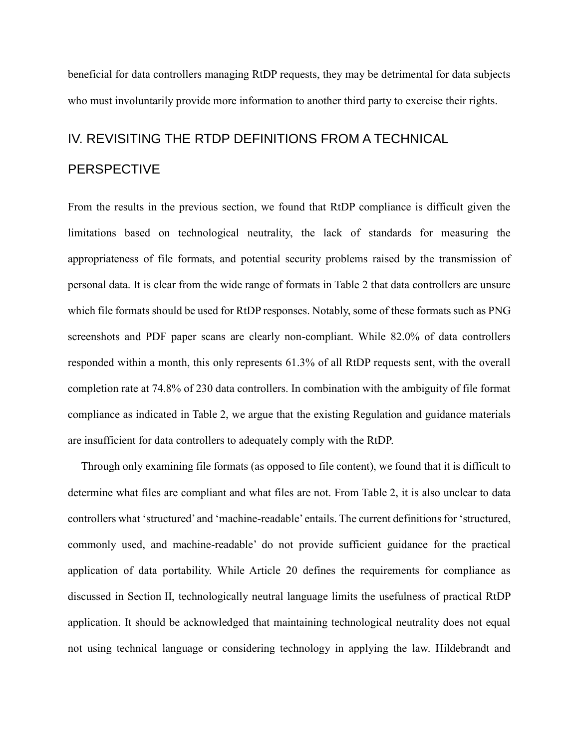beneficial for data controllers managing RtDP requests, they may be detrimental for data subjects who must involuntarily provide more information to another third party to exercise their rights.

# IV. REVISITING THE RTDP DEFINITIONS FROM A TECHNICAL **PERSPECTIVE**

From the results in the previous section, we found that RtDP compliance is difficult given the limitations based on technological neutrality, the lack of standards for measuring the appropriateness of file formats, and potential security problems raised by the transmission of personal data. It is clear from the wide range of formats in Table 2 that data controllers are unsure which file formats should be used for RtDP responses. Notably, some of these formats such as PNG screenshots and PDF paper scans are clearly non-compliant. While 82.0% of data controllers responded within a month, this only represents 61.3% of all RtDP requests sent, with the overall completion rate at 74.8% of 230 data controllers. In combination with the ambiguity of file format compliance as indicated in Table 2, we argue that the existing Regulation and guidance materials are insufficient for data controllers to adequately comply with the RtDP.

Through only examining file formats (as opposed to file content), we found that it is difficult to determine what files are compliant and what files are not. From Table 2, it is also unclear to data controllers what 'structured' and 'machine-readable' entails. The current definitions for 'structured, commonly used, and machine-readable' do not provide sufficient guidance for the practical application of data portability. While Article 20 defines the requirements for compliance as discussed in Section II, technologically neutral language limits the usefulness of practical RtDP application. It should be acknowledged that maintaining technological neutrality does not equal not using technical language or considering technology in applying the law. Hildebrandt and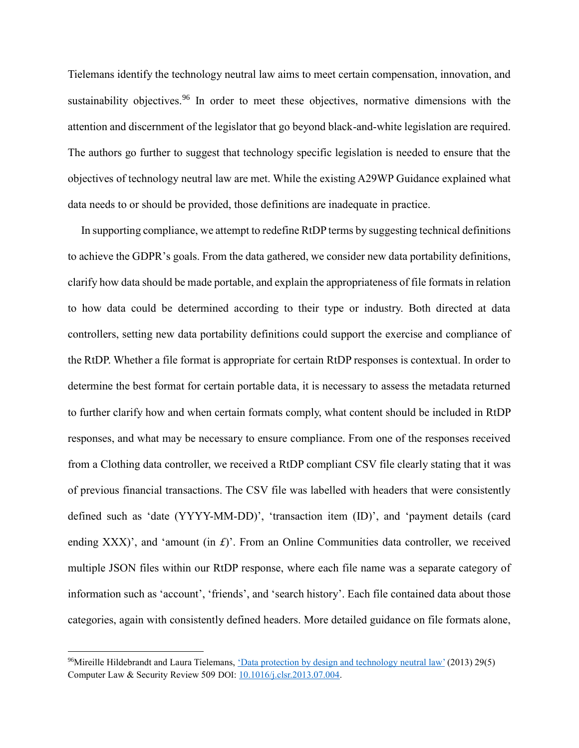Tielemans identify the technology neutral law aims to meet certain compensation, innovation, and sustainability objectives.<sup>96</sup> In order to meet these objectives, normative dimensions with the attention and discernment of the legislator that go beyond black-and-white legislation are required. The authors go further to suggest that technology specific legislation is needed to ensure that the objectives of technology neutral law are met. While the existing A29WP Guidance explained what data needs to or should be provided, those definitions are inadequate in practice.

In supporting compliance, we attempt to redefine RtDP terms by suggesting technical definitions to achieve the GDPR's goals. From the data gathered, we consider new data portability definitions, clarify how data should be made portable, and explain the appropriateness of file formats in relation to how data could be determined according to their type or industry. Both directed at data controllers, setting new data portability definitions could support the exercise and compliance of the RtDP. Whether a file format is appropriate for certain RtDP responses is contextual. In order to determine the best format for certain portable data, it is necessary to assess the metadata returned to further clarify how and when certain formats comply, what content should be included in RtDP responses, and what may be necessary to ensure compliance. From one of the responses received from a Clothing data controller, we received a RtDP compliant CSV file clearly stating that it was of previous financial transactions. The CSV file was labelled with headers that were consistently defined such as 'date (YYYY-MM-DD)', 'transaction item (ID)', and 'payment details (card ending XXX)', and 'amount (in *£*)'. From an Online Communities data controller, we received multiple JSON files within our RtDP response, where each file name was a separate category of information such as 'account', 'friends', and 'search history'. Each file contained data about those categories, again with consistently defined headers. More detailed guidance on file formats alone,

<sup>&</sup>lt;sup>96</sup>Mireille Hildebrandt and Laura Tielemans, <u>'Data protection by design and technology neutral law'</u> (2013) 29(5) Computer Law & Security Review 509 DOI[: 10.1016/j.clsr.2013.07.004.](https://doi.org/10.1016/j.clsr.2013.07.004)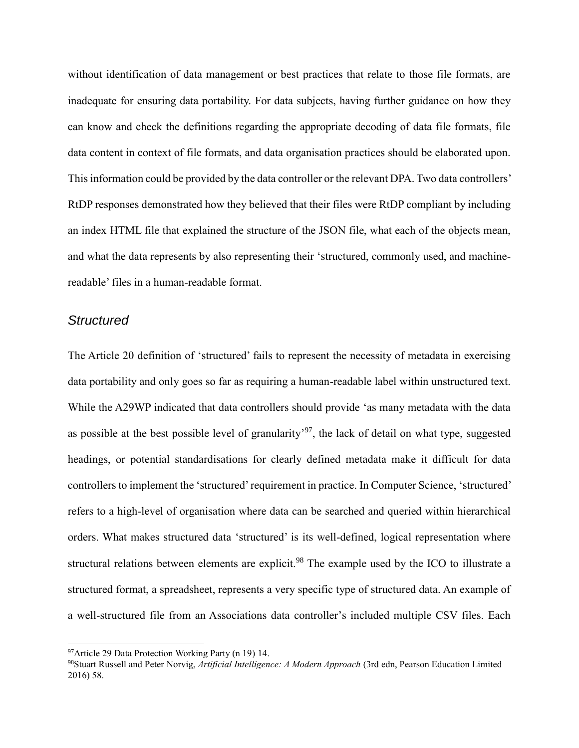without identification of data management or best practices that relate to those file formats, are inadequate for ensuring data portability. For data subjects, having further guidance on how they can know and check the definitions regarding the appropriate decoding of data file formats, file data content in context of file formats, and data organisation practices should be elaborated upon. This information could be provided by the data controller or the relevant DPA. Two data controllers' RtDP responses demonstrated how they believed that their files were RtDP compliant by including an index HTML file that explained the structure of the JSON file, what each of the objects mean, and what the data represents by also representing their 'structured, commonly used, and machinereadable' files in a human-readable format.

#### *Structured*

1

The Article 20 definition of 'structured' fails to represent the necessity of metadata in exercising data portability and only goes so far as requiring a human-readable label within unstructured text. While the A29WP indicated that data controllers should provide 'as many metadata with the data as possible at the best possible level of granularity<sup>'97</sup>, the lack of detail on what type, suggested headings, or potential standardisations for clearly defined metadata make it difficult for data controllers to implement the 'structured' requirement in practice. In Computer Science, 'structured' refers to a high-level of organisation where data can be searched and queried within hierarchical orders. What makes structured data 'structured' is its well-defined, logical representation where structural relations between elements are explicit.<sup>98</sup> The example used by the ICO to illustrate a structured format, a spreadsheet, represents a very specific type of structured data. An example of a well-structured file from an Associations data controller's included multiple CSV files. Each

<sup>97</sup>Article 29 Data Protection Working Party (n 19) 14.

<sup>98</sup>Stuart Russell and Peter Norvig, *Artificial Intelligence: A Modern Approach* (3rd edn, Pearson Education Limited 2016) 58.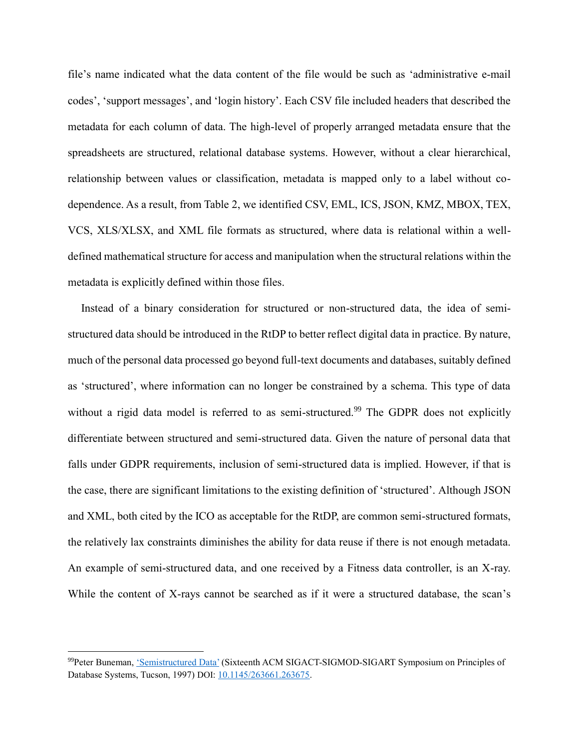file's name indicated what the data content of the file would be such as 'administrative e-mail codes', 'support messages', and 'login history'. Each CSV file included headers that described the metadata for each column of data. The high-level of properly arranged metadata ensure that the spreadsheets are structured, relational database systems. However, without a clear hierarchical, relationship between values or classification, metadata is mapped only to a label without codependence. As a result, from Table 2, we identified CSV, EML, ICS, JSON, KMZ, MBOX, TEX, VCS, XLS/XLSX, and XML file formats as structured, where data is relational within a welldefined mathematical structure for access and manipulation when the structural relations within the metadata is explicitly defined within those files.

Instead of a binary consideration for structured or non-structured data, the idea of semistructured data should be introduced in the RtDP to better reflect digital data in practice. By nature, much of the personal data processed go beyond full-text documents and databases, suitably defined as 'structured', where information can no longer be constrained by a schema. This type of data without a rigid data model is referred to as semi-structured.<sup>99</sup> The GDPR does not explicitly differentiate between structured and semi-structured data. Given the nature of personal data that falls under GDPR requirements, inclusion of semi-structured data is implied. However, if that is the case, there are significant limitations to the existing definition of 'structured'. Although JSON and XML, both cited by the ICO as acceptable for the RtDP, are common semi-structured formats, the relatively lax constraints diminishes the ability for data reuse if there is not enough metadata. An example of semi-structured data, and one received by a Fitness data controller, is an X-ray. While the content of X-rays cannot be searched as if it were a structured database, the scan's

<sup>99</sup> Peter Buneman, ['Semistructured Data'](https://doi.org/10.1145/263661.263675) (Sixteenth ACM SIGACT-SIGMOD-SIGART Symposium on Principles of Database Systems, Tucson, 1997) DOI: [10.1145/263661.263675.](https://doi.org/10.1145/263661.263675)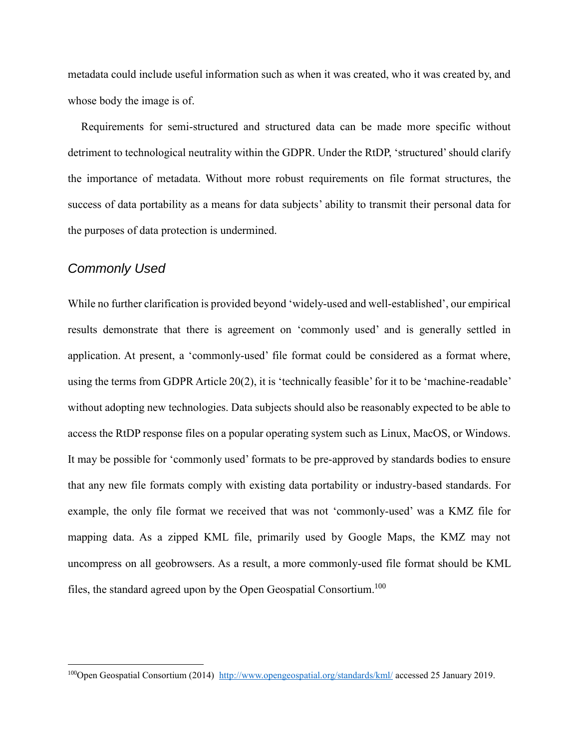metadata could include useful information such as when it was created, who it was created by, and whose body the image is of.

Requirements for semi-structured and structured data can be made more specific without detriment to technological neutrality within the GDPR. Under the RtDP, 'structured' should clarify the importance of metadata. Without more robust requirements on file format structures, the success of data portability as a means for data subjects' ability to transmit their personal data for the purposes of data protection is undermined.

# *Commonly Used*

1

While no further clarification is provided beyond 'widely-used and well-established', our empirical results demonstrate that there is agreement on 'commonly used' and is generally settled in application. At present, a 'commonly-used' file format could be considered as a format where, using the terms from GDPR Article 20(2), it is 'technically feasible' for it to be 'machine-readable' without adopting new technologies. Data subjects should also be reasonably expected to be able to access the RtDP response files on a popular operating system such as Linux, MacOS, or Windows. It may be possible for 'commonly used' formats to be pre-approved by standards bodies to ensure that any new file formats comply with existing data portability or industry-based standards. For example, the only file format we received that was not 'commonly-used' was a KMZ file for mapping data. As a zipped KML file, primarily used by Google Maps, the KMZ may not uncompress on all geobrowsers. As a result, a more commonly-used file format should be KML files, the standard agreed upon by the Open Geospatial Consortium.<sup>100</sup>

<sup>100</sup>Open Geospatial Consortium (2014)<http://www.opengeospatial.org/standards/kml/> accessed 25 January 2019.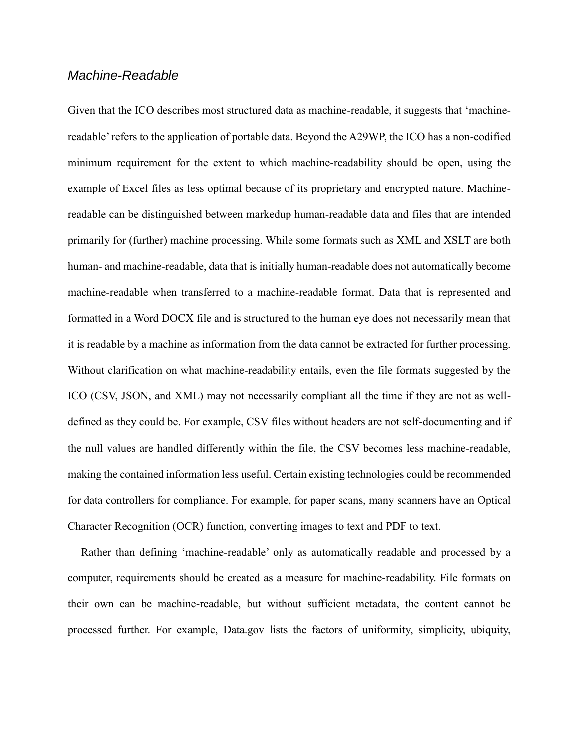#### *Machine-Readable*

Given that the ICO describes most structured data as machine-readable, it suggests that 'machinereadable' refers to the application of portable data. Beyond the A29WP, the ICO has a non-codified minimum requirement for the extent to which machine-readability should be open, using the example of Excel files as less optimal because of its proprietary and encrypted nature. Machinereadable can be distinguished between markedup human-readable data and files that are intended primarily for (further) machine processing. While some formats such as XML and XSLT are both human- and machine-readable, data that is initially human-readable does not automatically become machine-readable when transferred to a machine-readable format. Data that is represented and formatted in a Word DOCX file and is structured to the human eye does not necessarily mean that it is readable by a machine as information from the data cannot be extracted for further processing. Without clarification on what machine-readability entails, even the file formats suggested by the ICO (CSV, JSON, and XML) may not necessarily compliant all the time if they are not as welldefined as they could be. For example, CSV files without headers are not self-documenting and if the null values are handled differently within the file, the CSV becomes less machine-readable, making the contained information less useful. Certain existing technologies could be recommended for data controllers for compliance. For example, for paper scans, many scanners have an Optical Character Recognition (OCR) function, converting images to text and PDF to text.

Rather than defining 'machine-readable' only as automatically readable and processed by a computer, requirements should be created as a measure for machine-readability. File formats on their own can be machine-readable, but without sufficient metadata, the content cannot be processed further. For example, Data.gov lists the factors of uniformity, simplicity, ubiquity,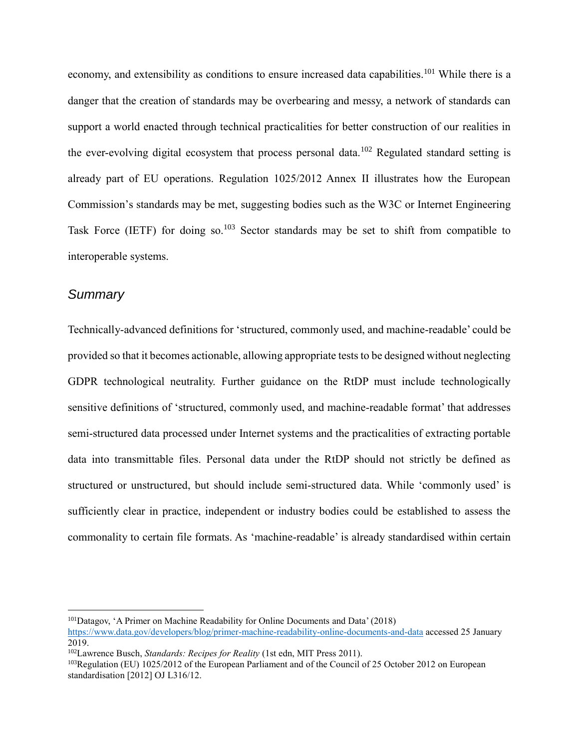economy, and extensibility as conditions to ensure increased data capabilities.<sup>101</sup> While there is a danger that the creation of standards may be overbearing and messy, a network of standards can support a world enacted through technical practicalities for better construction of our realities in the ever-evolving digital ecosystem that process personal data.<sup>102</sup> Regulated standard setting is already part of EU operations. Regulation 1025/2012 Annex II illustrates how the European Commission's standards may be met, suggesting bodies such as the W3C or Internet Engineering Task Force (IETF) for doing so.<sup>103</sup> Sector standards may be set to shift from compatible to interoperable systems.

#### *Summary*

1

Technically-advanced definitions for 'structured, commonly used, and machine-readable' could be provided so that it becomes actionable, allowing appropriate tests to be designed without neglecting GDPR technological neutrality. Further guidance on the RtDP must include technologically sensitive definitions of 'structured, commonly used, and machine-readable format' that addresses semi-structured data processed under Internet systems and the practicalities of extracting portable data into transmittable files. Personal data under the RtDP should not strictly be defined as structured or unstructured, but should include semi-structured data. While 'commonly used' is sufficiently clear in practice, independent or industry bodies could be established to assess the commonality to certain file formats. As 'machine-readable' is already standardised within certain

<sup>101</sup>Datagov, 'A Primer on Machine Readability for Online Documents and Data' (2018) <https://www.data.gov/developers/blog/primer-machine-readability-online-documents-and-data> accessed 25 January 2019.

<sup>102</sup>Lawrence Busch, *Standards: Recipes for Reality* (1st edn, MIT Press 2011).

<sup>103</sup>Regulation (EU) 1025/2012 of the European Parliament and of the Council of 25 October 2012 on European standardisation [2012] OJ L316/12.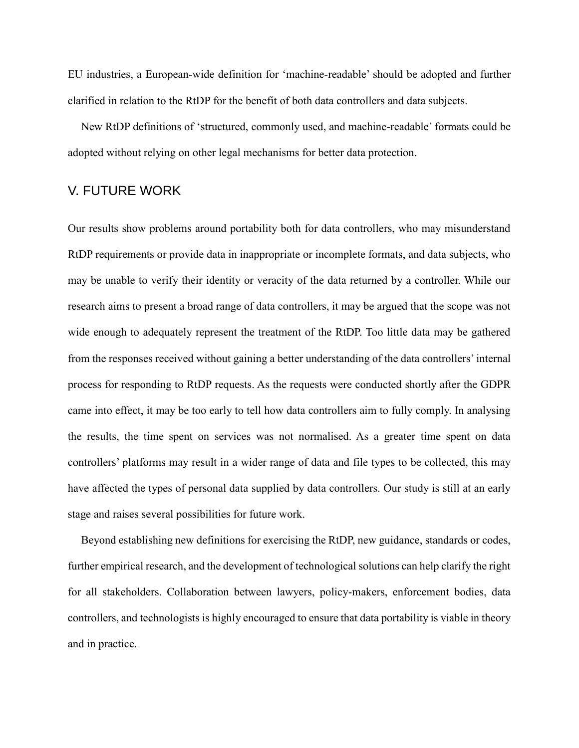EU industries, a European-wide definition for 'machine-readable' should be adopted and further clarified in relation to the RtDP for the benefit of both data controllers and data subjects.

New RtDP definitions of 'structured, commonly used, and machine-readable' formats could be adopted without relying on other legal mechanisms for better data protection.

#### V. FUTURE WORK

Our results show problems around portability both for data controllers, who may misunderstand RtDP requirements or provide data in inappropriate or incomplete formats, and data subjects, who may be unable to verify their identity or veracity of the data returned by a controller. While our research aims to present a broad range of data controllers, it may be argued that the scope was not wide enough to adequately represent the treatment of the RtDP. Too little data may be gathered from the responses received without gaining a better understanding of the data controllers' internal process for responding to RtDP requests. As the requests were conducted shortly after the GDPR came into effect, it may be too early to tell how data controllers aim to fully comply. In analysing the results, the time spent on services was not normalised. As a greater time spent on data controllers' platforms may result in a wider range of data and file types to be collected, this may have affected the types of personal data supplied by data controllers. Our study is still at an early stage and raises several possibilities for future work.

Beyond establishing new definitions for exercising the RtDP, new guidance, standards or codes, further empirical research, and the development of technological solutions can help clarify the right for all stakeholders. Collaboration between lawyers, policy-makers, enforcement bodies, data controllers, and technologists is highly encouraged to ensure that data portability is viable in theory and in practice.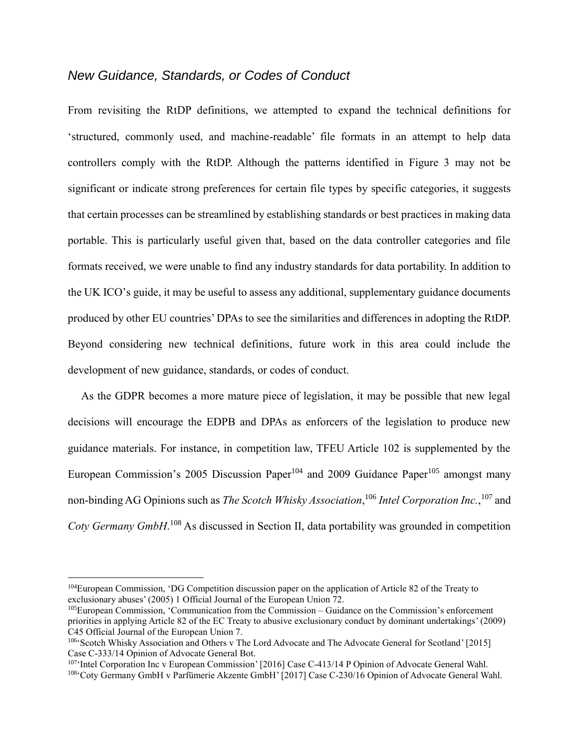#### *New Guidance, Standards, or Codes of Conduct*

From revisiting the RtDP definitions, we attempted to expand the technical definitions for 'structured, commonly used, and machine-readable' file formats in an attempt to help data controllers comply with the RtDP. Although the patterns identified in Figure 3 may not be significant or indicate strong preferences for certain file types by specific categories, it suggests that certain processes can be streamlined by establishing standards or best practices in making data portable. This is particularly useful given that, based on the data controller categories and file formats received, we were unable to find any industry standards for data portability. In addition to the UK ICO's guide, it may be useful to assess any additional, supplementary guidance documents produced by other EU countries' DPAs to see the similarities and differences in adopting the RtDP. Beyond considering new technical definitions, future work in this area could include the development of new guidance, standards, or codes of conduct.

As the GDPR becomes a more mature piece of legislation, it may be possible that new legal decisions will encourage the EDPB and DPAs as enforcers of the legislation to produce new guidance materials. For instance, in competition law, TFEU Article 102 is supplemented by the European Commission's 2005 Discussion Paper<sup>104</sup> and 2009 Guidance Paper<sup>105</sup> amongst many non-binding AG Opinions such as *The Scotch Whisky Association*, <sup>106</sup> *Intel Corporation Inc.*, <sup>107</sup> and *Coty Germany GmbH*. <sup>108</sup> As discussed in Section II, data portability was grounded in competition

<sup>104</sup>European Commission, 'DG Competition discussion paper on the application of Article 82 of the Treaty to exclusionary abuses' (2005) 1 Official Journal of the European Union 72.

<sup>105</sup>European Commission, 'Communication from the Commission – Guidance on the Commission's enforcement priorities in applying Article 82 of the EC Treaty to abusive exclusionary conduct by dominant undertakings' (2009) C45 Official Journal of the European Union 7.

<sup>&</sup>lt;sup>106</sup>'Scotch Whisky Association and Others v The Lord Advocate and The Advocate General for Scotland' [2015] Case C-333/14 Opinion of Advocate General Bot.

<sup>107 &#</sup>x27;Intel Corporation Inc v European Commission' [2016] Case C-413/14 P Opinion of Advocate General Wahl. <sup>108</sup>'Coty Germany GmbH v Parfümerie Akzente GmbH' [2017] Case C-230/16 Opinion of Advocate General Wahl.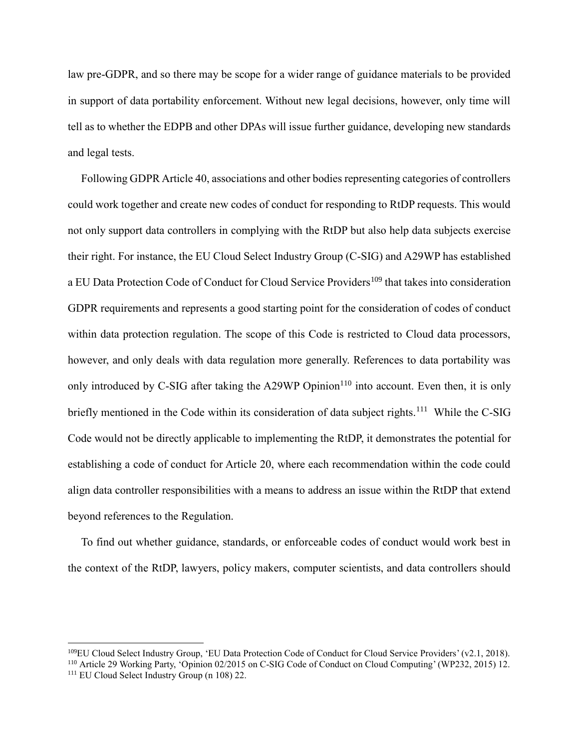law pre-GDPR, and so there may be scope for a wider range of guidance materials to be provided in support of data portability enforcement. Without new legal decisions, however, only time will tell as to whether the EDPB and other DPAs will issue further guidance, developing new standards and legal tests.

Following GDPR Article 40, associations and other bodies representing categories of controllers could work together and create new codes of conduct for responding to RtDP requests. This would not only support data controllers in complying with the RtDP but also help data subjects exercise their right. For instance, the EU Cloud Select Industry Group (C-SIG) and A29WP has established a EU Data Protection Code of Conduct for Cloud Service Providers<sup>109</sup> that takes into consideration GDPR requirements and represents a good starting point for the consideration of codes of conduct within data protection regulation. The scope of this Code is restricted to Cloud data processors, however, and only deals with data regulation more generally. References to data portability was only introduced by C-SIG after taking the A29WP Opinion<sup>110</sup> into account. Even then, it is only briefly mentioned in the Code within its consideration of data subject rights.<sup>111</sup> While the C-SIG Code would not be directly applicable to implementing the RtDP, it demonstrates the potential for establishing a code of conduct for Article 20, where each recommendation within the code could align data controller responsibilities with a means to address an issue within the RtDP that extend beyond references to the Regulation.

To find out whether guidance, standards, or enforceable codes of conduct would work best in the context of the RtDP, lawyers, policy makers, computer scientists, and data controllers should

<sup>109</sup>EU Cloud Select Industry Group, 'EU Data Protection Code of Conduct for Cloud Service Providers' (v2.1, 2018). <sup>110</sup> Article 29 Working Party, 'Opinion 02/2015 on C-SIG Code of Conduct on Cloud Computing' (WP232, 2015) 12.

<sup>&</sup>lt;sup>111</sup> EU Cloud Select Industry Group (n 108) 22.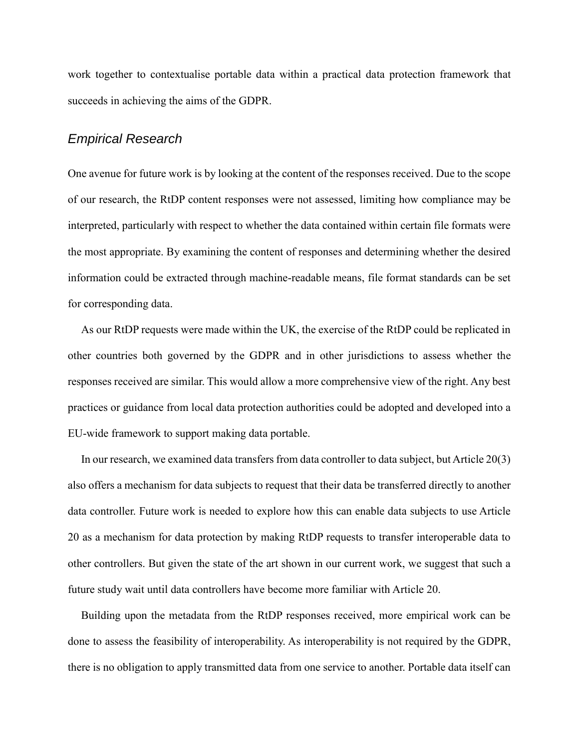work together to contextualise portable data within a practical data protection framework that succeeds in achieving the aims of the GDPR.

#### *Empirical Research*

One avenue for future work is by looking at the content of the responses received. Due to the scope of our research, the RtDP content responses were not assessed, limiting how compliance may be interpreted, particularly with respect to whether the data contained within certain file formats were the most appropriate. By examining the content of responses and determining whether the desired information could be extracted through machine-readable means, file format standards can be set for corresponding data.

As our RtDP requests were made within the UK, the exercise of the RtDP could be replicated in other countries both governed by the GDPR and in other jurisdictions to assess whether the responses received are similar. This would allow a more comprehensive view of the right. Any best practices or guidance from local data protection authorities could be adopted and developed into a EU-wide framework to support making data portable.

In our research, we examined data transfers from data controller to data subject, but Article 20(3) also offers a mechanism for data subjects to request that their data be transferred directly to another data controller. Future work is needed to explore how this can enable data subjects to use Article 20 as a mechanism for data protection by making RtDP requests to transfer interoperable data to other controllers. But given the state of the art shown in our current work, we suggest that such a future study wait until data controllers have become more familiar with Article 20.

Building upon the metadata from the RtDP responses received, more empirical work can be done to assess the feasibility of interoperability. As interoperability is not required by the GDPR, there is no obligation to apply transmitted data from one service to another. Portable data itself can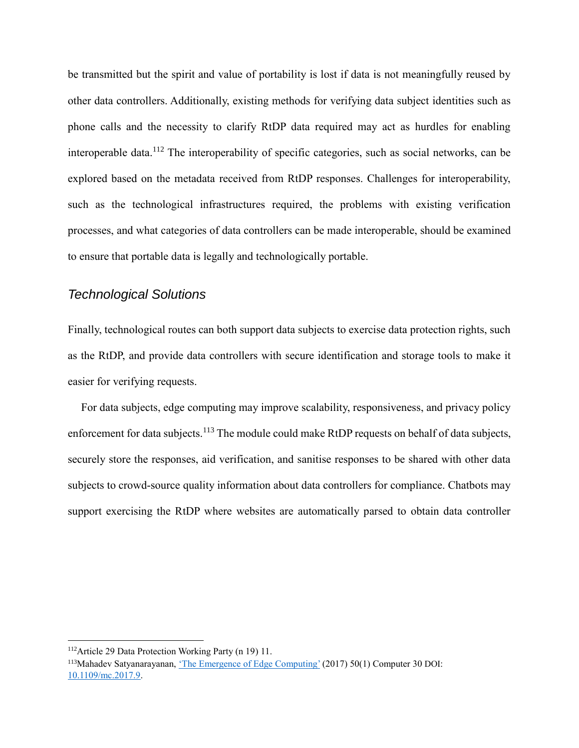be transmitted but the spirit and value of portability is lost if data is not meaningfully reused by other data controllers. Additionally, existing methods for verifying data subject identities such as phone calls and the necessity to clarify RtDP data required may act as hurdles for enabling interoperable data.<sup>112</sup> The interoperability of specific categories, such as social networks, can be explored based on the metadata received from RtDP responses. Challenges for interoperability, such as the technological infrastructures required, the problems with existing verification processes, and what categories of data controllers can be made interoperable, should be examined to ensure that portable data is legally and technologically portable.

## *Technological Solutions*

Finally, technological routes can both support data subjects to exercise data protection rights, such as the RtDP, and provide data controllers with secure identification and storage tools to make it easier for verifying requests.

For data subjects, edge computing may improve scalability, responsiveness, and privacy policy enforcement for data subjects.<sup>113</sup> The module could make RtDP requests on behalf of data subjects, securely store the responses, aid verification, and sanitise responses to be shared with other data subjects to crowd-source quality information about data controllers for compliance. Chatbots may support exercising the RtDP where websites are automatically parsed to obtain data controller

<sup>112</sup>Article 29 Data Protection Working Party (n 19) 11.

<sup>113</sup>Mahadev Satyanarayanan, ['The Emergence of Edge Computing'](https://doi.org/10.1109/mc.2017.9) (2017) 50(1) Computer 30 DOI: [10.1109/mc.2017.9.](https://doi.org/10.1109/mc.2017.9)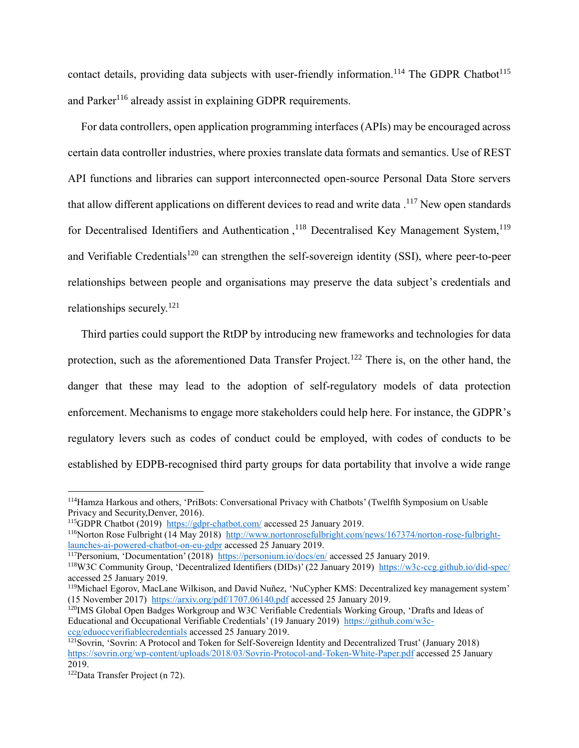contact details, providing data subjects with user-friendly information.<sup>114</sup> The GDPR Chatbot<sup>115</sup> and Parker<sup>116</sup> already assist in explaining GDPR requirements.

For data controllers, open application programming interfaces (APIs) may be encouraged across certain data controller industries, where proxies translate data formats and semantics. Use of REST API functions and libraries can support interconnected open-source Personal Data Store servers that allow different applications on different devices to read and write data .<sup>117</sup> New open standards for Decentralised Identifiers and Authentication,<sup>118</sup> Decentralised Key Management System,<sup>119</sup> and Verifiable Credentials<sup>120</sup> can strengthen the self-sovereign identity (SSI), where peer-to-peer relationships between people and organisations may preserve the data subject's credentials and relationships securely.<sup>121</sup>

Third parties could support the RtDP by introducing new frameworks and technologies for data protection, such as the aforementioned Data Transfer Project.<sup>122</sup> There is, on the other hand, the danger that these may lead to the adoption of self-regulatory models of data protection enforcement. Mechanisms to engage more stakeholders could help here. For instance, the GDPR's regulatory levers such as codes of conduct could be employed, with codes of conducts to be established by EDPB-recognised third party groups for data portability that involve a wide range

<sup>114</sup>Hamza Harkous and others, 'PriBots: Conversational Privacy with Chatbots' (Twelfth Symposium on Usable Privacy and Security,Denver, 2016).

<sup>115</sup>GDPR Chatbot (2019)<https://gdpr-chatbot.com/> accessed 25 January 2019.

<sup>116</sup>Norton Rose Fulbright (14 May 2018) [http://www.nortonrosefulbright.com/news/167374/norton-rose-fulbright](http://www.nortonrosefulbright.com/news/167374/norton-rose-fulbright-launches-ai-powered-chatbot-on-eu-gdpr)[launches-ai-powered-chatbot-on-eu-gdpr](http://www.nortonrosefulbright.com/news/167374/norton-rose-fulbright-launches-ai-powered-chatbot-on-eu-gdpr) accessed 25 January 2019.

<sup>117</sup>Personium, 'Documentation' (2018) <https://personium.io/docs/en/> accessed 25 January 2019.

<sup>118</sup>W3C Community Group, 'Decentralized Identifiers (DIDs)' (22 January 2019) <https://w3c-ccg.github.io/did-spec/> accessed 25 January 2019.

<sup>119</sup>Michael Egorov, MacLane Wilkison, and David Nuñez, 'NuCypher KMS: Decentralized key management system' (15 November 2017) <https://arxiv.org/pdf/1707.06140.pdf> accessed 25 January 2019.

<sup>120</sup>IMS Global Open Badges Workgroup and W3C Verifiable Credentials Working Group, 'Drafts and Ideas of Educational and Occupational Verifiable Credentials' (19 January 2019) [https://github.com/w3c](https://github.com/w3c-ccg/edu_occ_verifiable_credentials)[ccg/eduoccverifiablecredentials](https://github.com/w3c-ccg/edu_occ_verifiable_credentials) accessed 25 January 2019.

<sup>121</sup>Sovrin, 'Sovrin: A Protocol and Token for Self-Sovereign Identity and Decentralized Trust' (January 2018) <https://sovrin.org/wp-content/uploads/2018/03/Sovrin-Protocol-and-Token-White-Paper.pdf> accessed 25 January 2019.

<sup>122</sup>Data Transfer Project (n 72).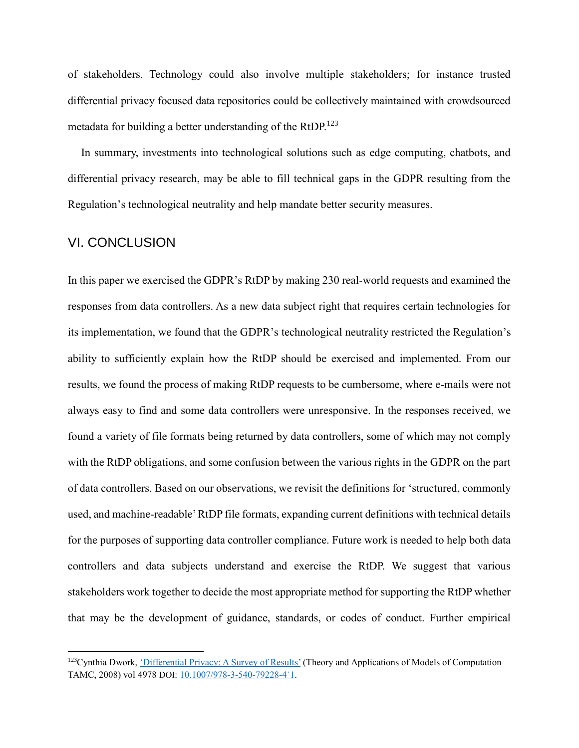of stakeholders. Technology could also involve multiple stakeholders; for instance trusted differential privacy focused data repositories could be collectively maintained with crowdsourced metadata for building a better understanding of the RtDP.<sup>123</sup>

In summary, investments into technological solutions such as edge computing, chatbots, and differential privacy research, may be able to fill technical gaps in the GDPR resulting from the Regulation's technological neutrality and help mandate better security measures.

#### VI. CONCLUSION

<u>.</u>

In this paper we exercised the GDPR's RtDP by making 230 real-world requests and examined the responses from data controllers. As a new data subject right that requires certain technologies for its implementation, we found that the GDPR's technological neutrality restricted the Regulation's ability to sufficiently explain how the RtDP should be exercised and implemented. From our results, we found the process of making RtDP requests to be cumbersome, where e-mails were not always easy to find and some data controllers were unresponsive. In the responses received, we found a variety of file formats being returned by data controllers, some of which may not comply with the RtDP obligations, and some confusion between the various rights in the GDPR on the part of data controllers. Based on our observations, we revisit the definitions for 'structured, commonly used, and machine-readable' RtDP file formats, expanding current definitions with technical details for the purposes of supporting data controller compliance. Future work is needed to help both data controllers and data subjects understand and exercise the RtDP. We suggest that various stakeholders work together to decide the most appropriate method for supporting the RtDP whether that may be the development of guidance, standards, or codes of conduct. Further empirical

<sup>&</sup>lt;sup>123</sup>Cynthia Dwork, ['Differential Privacy: A Survey of Results'](https://doi.org/10.1007/978-3-540-79228-4_1) (Theory and Applications of Models of Computation– TAMC, 2008) vol 4978 DOI: [10.1007/978-3-540-79228-4˙1.](https://doi.org/10.1007/978-3-540-79228-4_1)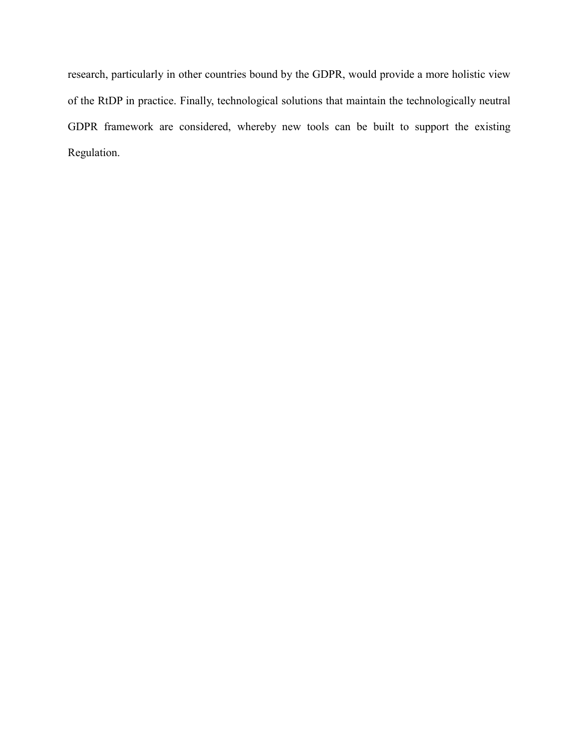research, particularly in other countries bound by the GDPR, would provide a more holistic view of the RtDP in practice. Finally, technological solutions that maintain the technologically neutral GDPR framework are considered, whereby new tools can be built to support the existing Regulation.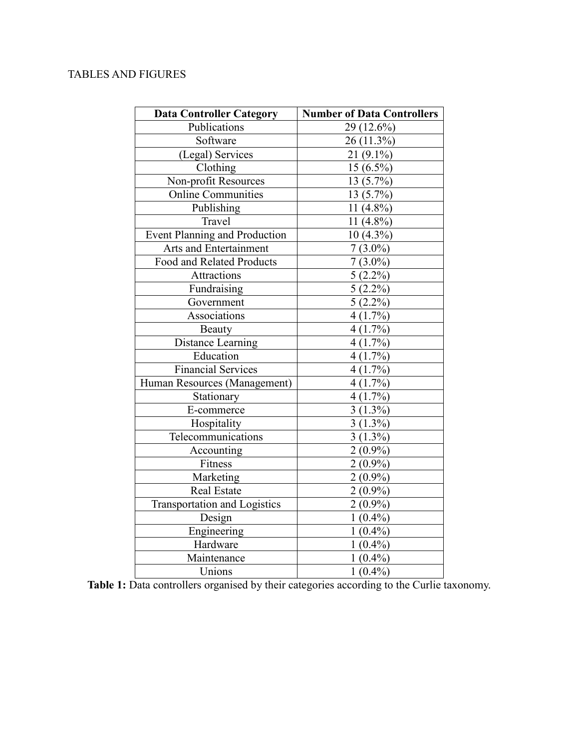# TABLES AND FIGURES

| <b>Data Controller Category</b>      | <b>Number of Data Controllers</b> |  |
|--------------------------------------|-----------------------------------|--|
| Publications                         | 29 (12.6%)                        |  |
| Software                             | 26 (11.3%)                        |  |
| (Legal) Services                     | $21(9.1\%)$                       |  |
| Clothing                             | $15(6.5\%)$                       |  |
| Non-profit Resources                 | 13 (5.7%)                         |  |
| Online Communities                   | 13(5.7%)                          |  |
| Publishing                           | 11 $(4.8\%)$                      |  |
| Travel                               | 11 $(4.8\%)$                      |  |
| <b>Event Planning and Production</b> | 10 (4.3%)                         |  |
| Arts and Entertainment               | $7(3.0\%)$                        |  |
| Food and Related Products            | $7(3.0\%)$                        |  |
| Attractions                          | $5(2.2\%)$                        |  |
| Fundraising                          | $5(2.2\%)$                        |  |
| Government                           | $5(2.2\%)$                        |  |
| Associations                         | 4(1.7%)                           |  |
| Beauty                               | 4(1.7%)                           |  |
| Distance Learning                    | $4(1.7\%)$                        |  |
| Education                            | 4(1.7%)                           |  |
| <b>Financial Services</b>            | 4(1.7%)                           |  |
| Human Resources (Management)         | 4(1.7%)                           |  |
| Stationary                           | 4(1.7%)                           |  |
| E-commerce                           | $3(1.3\%)$                        |  |
| Hospitality                          | $3(1.3\%)$                        |  |
| Telecommunications                   | $3(1.3\%)$                        |  |
| Accounting                           | $2(0.9\%)$                        |  |
| Fitness                              | $2(0.9\%)$                        |  |
| Marketing                            | $2(0.9\%)$                        |  |
| Real Estate                          | $2(0.9\%)$                        |  |
| <b>Transportation and Logistics</b>  | $2(0.9\%)$                        |  |
| Design                               | $1(0.4\%)$                        |  |
| Engineering                          | $1(0.4\%)$                        |  |
| Hardware                             | $1(0.4\%)$                        |  |
| Maintenance                          | $1(0.4\%)$                        |  |
| Unions                               | $1(0.4\%)$                        |  |

**Table 1:** Data controllers organised by their categories according to the Curlie taxonomy.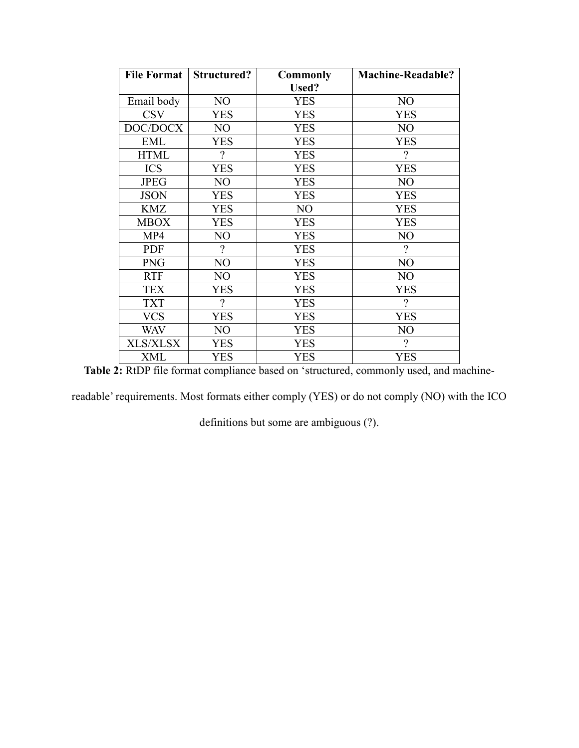| <b>File Format</b> | <b>Structured?</b> | <b>Commonly</b> | <b>Machine-Readable?</b> |
|--------------------|--------------------|-----------------|--------------------------|
|                    |                    | <b>Used?</b>    |                          |
| Email body         | NO                 | <b>YES</b>      | NO                       |
| <b>CSV</b>         | YES                | <b>YES</b>      | YES                      |
| DOC/DOCX           | N <sub>O</sub>     | <b>YES</b>      | N <sub>O</sub>           |
| EML                | <b>YES</b>         | <b>YES</b>      | <b>YES</b>               |
| <b>HTML</b>        | $\gamma$           | <b>YES</b>      | $\gamma$                 |
| <b>ICS</b>         | <b>YES</b>         | <b>YES</b>      | <b>YES</b>               |
| <b>JPEG</b>        | N <sub>O</sub>     | <b>YES</b>      | N <sub>O</sub>           |
| <b>JSON</b>        | <b>YES</b>         | <b>YES</b>      | <b>YES</b>               |
| <b>KMZ</b>         | <b>YES</b>         | NO              | <b>YES</b>               |
| <b>MBOX</b>        | <b>YES</b>         | <b>YES</b>      | <b>YES</b>               |
| MP4                | NO                 | <b>YES</b>      | N <sub>O</sub>           |
| <b>PDF</b>         | $\gamma$           | <b>YES</b>      | $\gamma$                 |
| <b>PNG</b>         | NO                 | <b>YES</b>      | NO                       |
| <b>RTF</b>         | NO                 | <b>YES</b>      | NO                       |
| <b>TEX</b>         | <b>YES</b>         | <b>YES</b>      | <b>YES</b>               |
| <b>TXT</b>         | $\gamma$           | <b>YES</b>      | $\gamma$                 |
| <b>VCS</b>         | <b>YES</b>         | <b>YES</b>      | <b>YES</b>               |
| <b>WAV</b>         | N <sub>O</sub>     | <b>YES</b>      | NO                       |
| <b>XLS/XLSX</b>    | <b>YES</b>         | <b>YES</b>      | $\overline{?}$           |
| XML                | <b>YES</b>         | <b>YES</b>      | <b>YES</b>               |

**Table 2:** RtDP file format compliance based on 'structured, commonly used, and machine-

readable' requirements. Most formats either comply (YES) or do not comply (NO) with the ICO

definitions but some are ambiguous (?).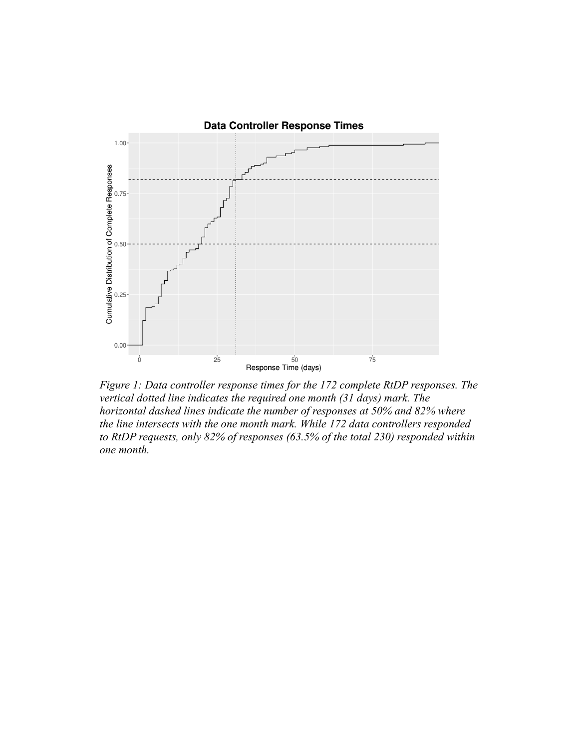

*Figure 1: Data controller response times for the 172 complete RtDP responses. The vertical dotted line indicates the required one month (31 days) mark. The horizontal dashed lines indicate the number of responses at 50% and 82% where the line intersects with the one month mark. While 172 data controllers responded to RtDP requests, only 82% of responses (63.5% of the total 230) responded within one month.*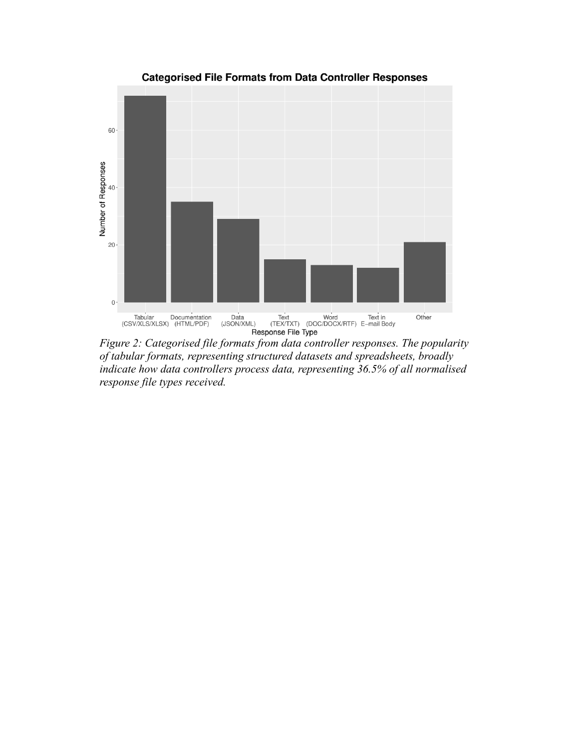

*of tabular formats, representing structured datasets and spreadsheets, broadly indicate how data controllers process data, representing 36.5% of all normalised response file types received.*